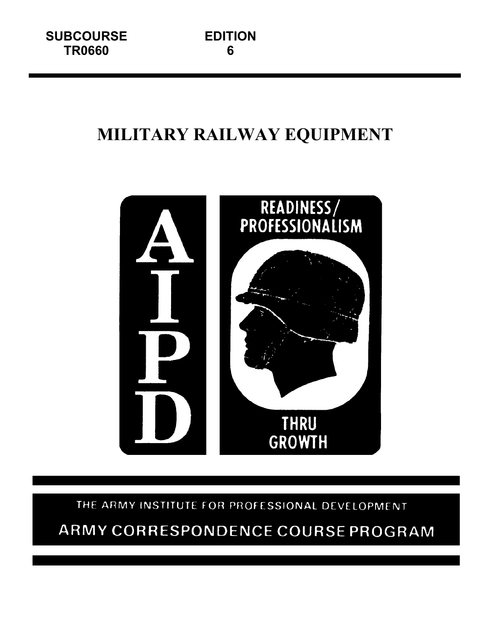# **MILITARY RAILWAY EQUIPMENT**



THE ARMY INSTITUTE FOR PROFESSIONAL DEVELOPMENT

# ARMY CORRESPONDENCE COURSE PROGRAM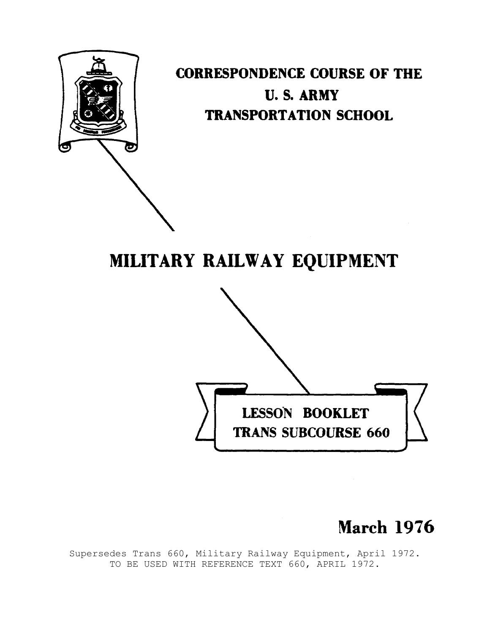

**CORRESPONDENCE COURSE OF THE U.S. ARMY TRANSPORTATION SCHOOL** 

# MILITARY RAILWAY EQUIPMENT



# **March 1976**

Supersedes Trans 660, Military Railway Equipment, April 1972. TO BE USED WITH REFERENCE TEXT 660, APRIL 1972.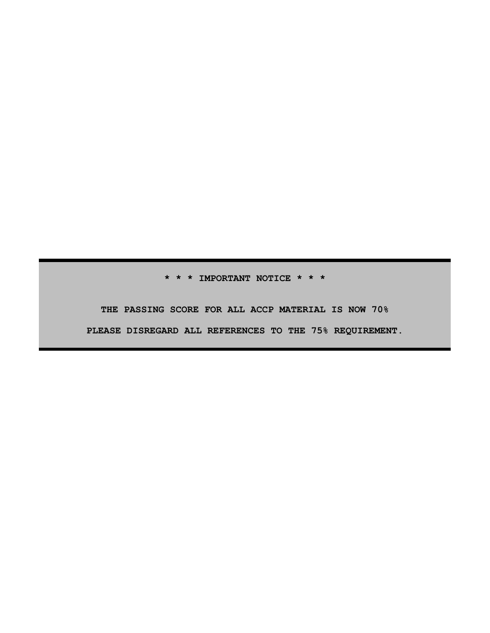**\* \* \* IMPORTANT NOTICE \* \* \***

**THE PASSING SCORE FOR ALL ACCP MATERIAL IS NOW 70% PLEASE DISREGARD ALL REFERENCES TO THE 75% REQUIREMENT.**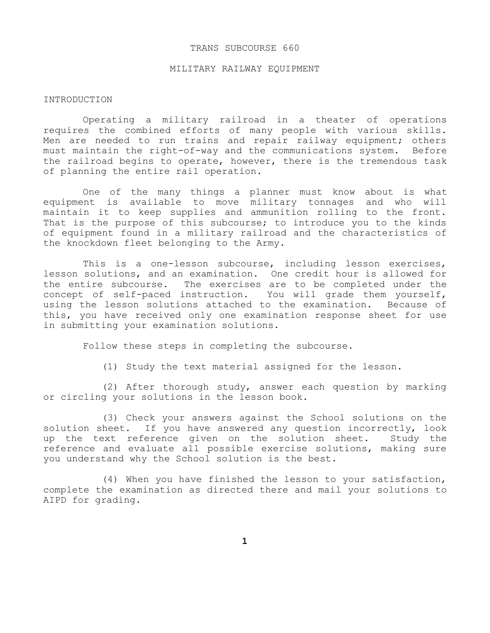#### TRANS SUBCOURSE 660

#### MILITARY RAILWAY EQUIPMENT

#### INTRODUCTION

Operating a military railroad in a theater of operations requires the combined efforts of many people with various skills. Men are needed to run trains and repair railway equipment; others must maintain the right-of-way and the communications system. Before the railroad begins to operate, however, there is the tremendous task of planning the entire rail operation.

One of the many things a planner must know about is what equipment is available to move military tonnages and who will maintain it to keep supplies and ammunition rolling to the front. That is the purpose of this subcourse; to introduce you to the kinds of equipment found in a military railroad and the characteristics of the knockdown fleet belonging to the Army.

This is a one-lesson subcourse, including lesson exercises, lesson solutions, and an examination. One credit hour is allowed for the entire subcourse. The exercises are to be completed under the concept of self-paced instruction. You will grade them yourself, using the lesson solutions attached to the examination. Because of this, you have received only one examination response sheet for use in submitting your examination solutions.

Follow these steps in completing the subcourse.

(1) Study the text material assigned for the lesson.

(2) After thorough study, answer each question by marking or circling your solutions in the lesson book.

(3) Check your answers against the School solutions on the solution sheet. If you have answered any question incorrectly, look up the text reference given on the solution sheet. Study the reference and evaluate all possible exercise solutions, making sure you understand why the School solution is the best.

(4) When you have finished the lesson to your satisfaction, complete the examination as directed there and mail your solutions to AIPD for grading.

**1**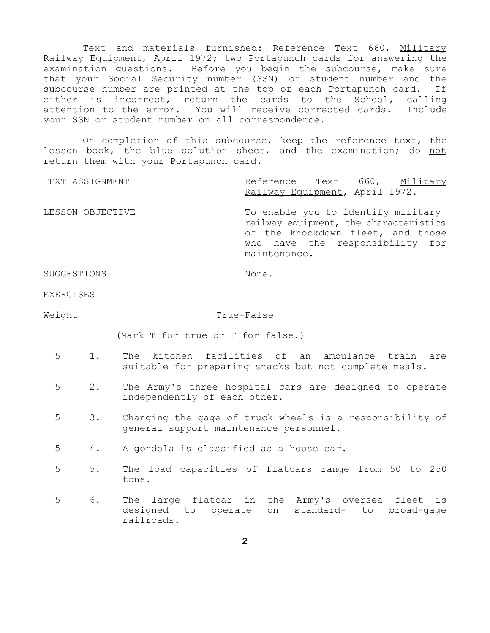Text and materials furnished: Reference Text 660, Military Railway Equipment, April 1972; two Portapunch cards for answering the examination questions. Before you begin the subcourse, make sure that your Social Security number (SSN) or student number and the subcourse number are printed at the top of each Portapunch card. If either is incorrect, return the cards to the School, calling attention to the error. You will receive corrected cards. Include your SSN or student number on all correspondence.

On completion of this subcourse, keep the reference text, the lesson book, the blue solution sheet, and the examination; do not return them with your Portapunch card.

TEXT ASSIGNMENT TEXT ASSIGNMENT Railway Equipment, April 1972. LESSON OBJECTIVE To enable you to identify military railway equipment, the characteristics of the knockdown fleet, and those who have the responsibility for maintenance.

SUGGESTIONS None.

EXERCISES

#### Weight True-False

(Mark T for true or F for false.)

- 5 1. The kitchen facilities of an ambulance train are suitable for preparing snacks but not complete meals.
- 5 2. The Army's three hospital cars are designed to operate independently of each other.
- 5 3. Changing the gage of truck wheels is a responsibility of general support maintenance personnel.
- 5 4. A gondola is classified as a house car.
- 5 5. The load capacities of flatcars range from 50 to 250 tons.
- 5 6. The large flatcar in the Army's oversea fleet is designed to operate on standard- to broad-gage railroads.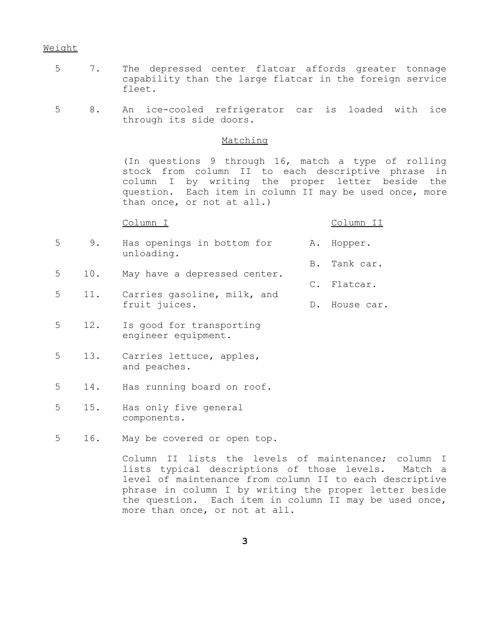#### Weight

- 5 7. The depressed center flatcar affords greater tonnage capability than the large flatcar in the foreign service fleet.
- 5 8. An ice-cooled refrigerator car is loaded with ice through its side doors.

# Matching

(In questions 9 through 16, match a type of rolling stock from column II to each descriptive phrase in column I by writing the proper letter beside the question. Each item in column II may be used once, more than once, or not at all.)

Column I Column II

- 5 9. Has openings in bottom for A. Hopper. unloading. B. Tank car.
- 5 10. May have a depressed center. C. Flatcar.
- 5 11. Carries gasoline, milk, and fruit juices. D. House car.
- 5 12. Is good for transporting engineer equipment.
- 5 13. Carries lettuce, apples, and peaches.
- 5 14. Has running board on roof.
- 5 15. Has only five general components.
- 5 16. May be covered or open top.

Column II lists the levels of maintenance; column I lists typical descriptions of those levels. Match a level of maintenance from column II to each descriptive phrase in column I by writing the proper letter beside the question. Each item in column II may be used once, more than once, or not at all.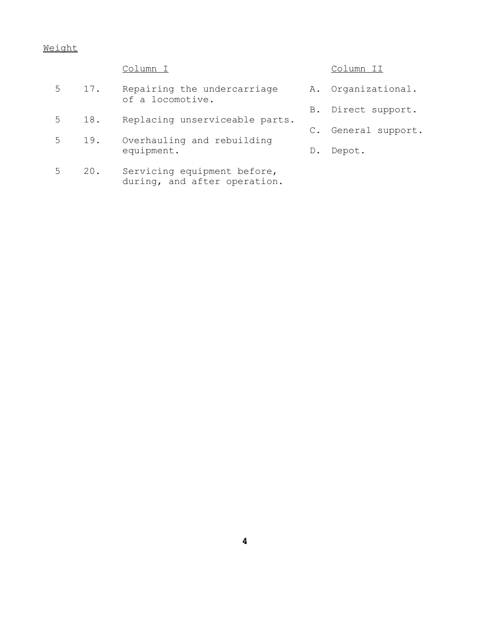# Weight

- 5 17. Repairing the undercarriage A. Organizational. of a locomotive.
- 5 18. Replacing unserviceable parts.
- 5 19. Overhauling and rebuilding<br>equipment.
- 5 20. Servicing equipment before, during, and after operation.

# Column I Column II

- 
- B. Direct support.
- C. General support.
- D. Depot.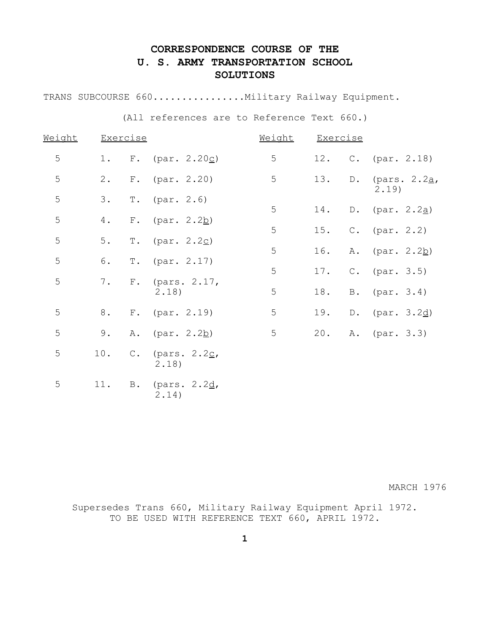# **CORRESPONDENCE COURSE OF THE U. S. ARMY TRANSPORTATION SCHOOL SOLUTIONS**

TRANS SUBCOURSE 660..................Military Railway Equipment.

(All references are to Reference Text 660.)

| Weight |       | <b>Exercise</b> |                          | Weight | <b>Exercise</b> |               |                        |
|--------|-------|-----------------|--------------------------|--------|-----------------|---------------|------------------------|
| 5      | $1$ . |                 | F. (par. $2.20c$ )       | 5      | 12.             |               | C. $(par. 2.18)$       |
| 5      | $2$ . |                 | $F.$ (par. 2.20)         | 5      | 13.             | $\mathbb D$ . | (pars. $2.2a$<br>2.19) |
| 5      | 3.    | $T$ .           | (par. 2.6)               | 5      | 14.             |               | D. (par. $2.2a$ )      |
| 5      | 4.    | $F$ .           | (par. 2.2 <u>b</u> )     |        |                 |               |                        |
| 5      | 5.    | $T$ .           | (par. 2.2c)              | 5      | 15.             |               | $C.$ (par. 2.2)        |
|        |       |                 |                          | 5      | 16.             |               | A. (par. 2.2b)         |
| 5      | 6.    | $T$ .           | (par. 2.17)              | 5      | 17.             |               | $C.$ (par. 3.5)        |
| 5      | 7.    | $F$ .           | (pars. $2.17$ ,<br>2.18) | 5      | 18.             | <b>B</b> .    | (par. 3.4)             |
| 5      | 8.    |                 | $F.$ (par. 2.19)         | 5      | 19.             |               | D. (par. $3.2d$ )      |
| 5      | 9.    | Α.              | (par. 2.2 <u>b</u> )     | 5      | 20.             |               | A. (par. 3.3)          |
| 5      | 10.   | $\mathbb C$ .   | (pars. 2.2c,<br>2.18)    |        |                 |               |                        |
| 5      | 11.   |                 | B. (pars. 2.2d,          |        |                 |               |                        |

2.14)

MARCH 1976

Supersedes Trans 660, Military Railway Equipment April 1972. TO BE USED WITH REFERENCE TEXT 660, APRIL 1972.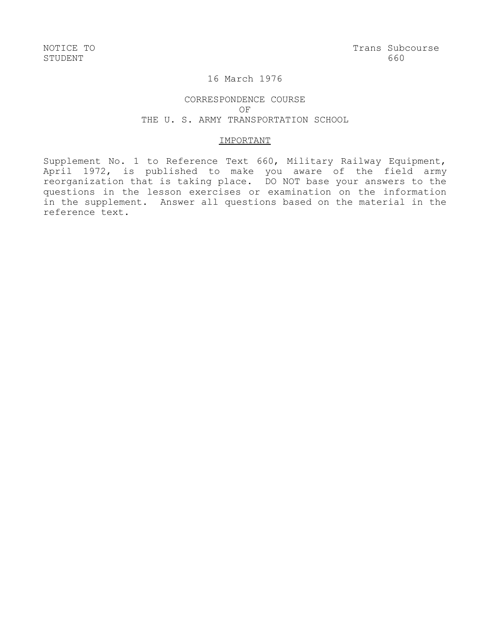# 16 March 1976

# CORRESPONDENCE COURSE OF THE U. S. ARMY TRANSPORTATION SCHOOL

### IMPORTANT

Supplement No. 1 to Reference Text 660, Military Railway Equipment, April 1972, is published to make you aware of the field army reorganization that is taking place. DO NOT base your answers to the questions in the lesson exercises or examination on the information in the supplement. Answer all questions based on the material in the reference text.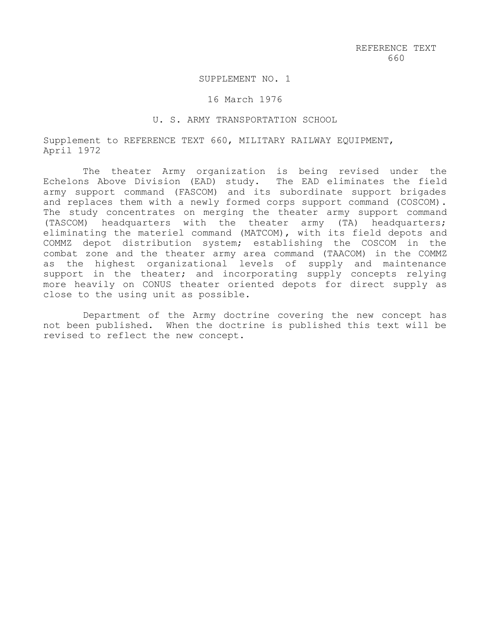### SUPPLEMENT NO. 1

#### 16 March 1976

#### U. S. ARMY TRANSPORTATION SCHOOL

Supplement to REFERENCE TEXT 660, MILITARY RAILWAY EQUIPMENT, April 1972

The theater Army organization is being revised under the Echelons Above Division (EAD) study. The EAD eliminates the field army support command (FASCOM) and its subordinate support brigades and replaces them with a newly formed corps support command (COSCOM). The study concentrates on merging the theater army support command (TASCOM) headquarters with the theater army (TA) headquarters; eliminating the materiel command (MATCOM), with its field depots and COMMZ depot distribution system; establishing the COSCOM in the combat zone and the theater army area command (TAACOM) in the COMMZ as the highest organizational levels of supply and maintenance support in the theater; and incorporating supply concepts relying more heavily on CONUS theater oriented depots for direct supply as close to the using unit as possible.

Department of the Army doctrine covering the new concept has not been published. When the doctrine is published this text will be revised to reflect the new concept.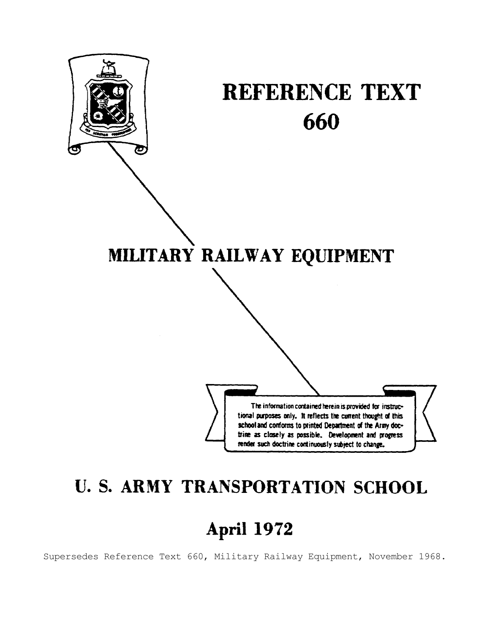

# **U. S. ARMY TRANSPORTATION SCHOOL**

# April 1972

Supersedes Reference Text 660, Military Railway Equipment, November 1968.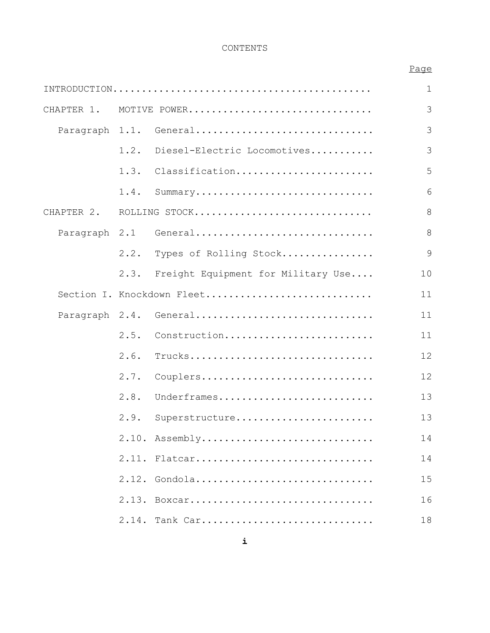# CONTENTS

# Page

|               |       |                                    | $\mathbf 1$ |
|---------------|-------|------------------------------------|-------------|
| CHAPTER 1.    |       | MOTIVE POWER                       | 3           |
|               |       | Paragraph 1.1. General             | 3           |
|               | 1.2.  | Diesel-Electric Locomotives        | 3           |
|               | 1.3.  | Classification                     | 5           |
|               | 1.4.  | Summary                            | 6           |
| CHAPTER 2.    |       | ROLLING STOCK                      | 8           |
| Paragraph 2.1 |       | General                            | 8           |
|               | 2.2.  | Types of Rolling Stock             | 9           |
|               | 2.3.  | Freight Equipment for Military Use | 10          |
|               |       | Section I. Knockdown Fleet         | 11          |
|               |       | Paragraph 2.4. General             | 11          |
|               | 2.5.  | Construction                       | 11          |
|               | 2.6.  | Trucks                             | 12          |
|               | 2.7.  | Couplers                           | 12          |
|               | 2.8.  | Underframes                        | 13          |
|               | 2.9.  | Superstructure                     | 13          |
|               |       | 2.10. Assembly                     | 14          |
|               |       | 2.11. Flatcar                      | 14          |
|               |       | 2.12. Gondola                      | 15          |
|               |       | 2.13. Boxcar                       | 16          |
|               | 2.14. | Tank Car                           | 18          |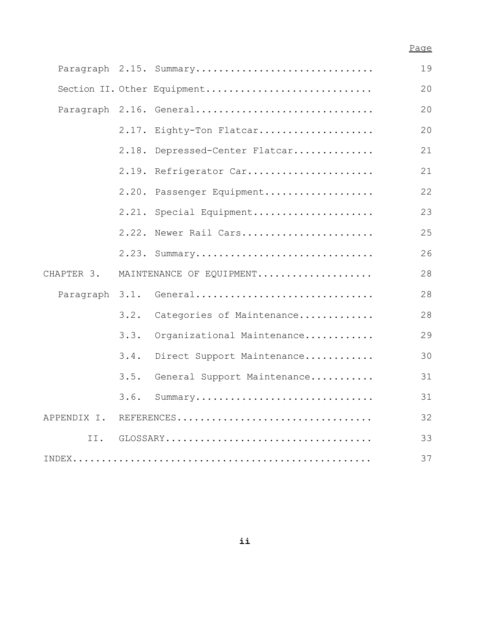# Page

|                |      | Paragraph 2.15. Summary        | 19 |
|----------------|------|--------------------------------|----|
|                |      | Section II. Other Equipment    | 20 |
|                |      | Paragraph 2.16. General        | 20 |
|                |      | 2.17. Eighty-Ton Flatcar       | 20 |
|                |      | 2.18. Depressed-Center Flatcar | 21 |
|                |      | 2.19. Refrigerator Car         | 21 |
|                |      | 2.20. Passenger Equipment      | 22 |
|                |      | 2.21. Special Equipment        | 23 |
|                |      | 2.22. Newer Rail Cars          | 25 |
|                |      | 2.23. Summary                  | 26 |
| CHAPTER 3.     |      | MAINTENANCE OF EQUIPMENT       | 28 |
| Paragraph 3.1. |      | General                        | 28 |
|                | 3.2. | Categories of Maintenance      | 28 |
|                | 3.3. | Organizational Maintenance     | 29 |
|                | 3.4. | Direct Support Maintenance     | 30 |
|                | 3.5. | General Support Maintenance    | 31 |
|                | 3.6. | Summary                        | 31 |
| APPENDIX I.    |      | REFERENCES                     | 32 |
| II.            |      |                                | 33 |
|                |      |                                | 37 |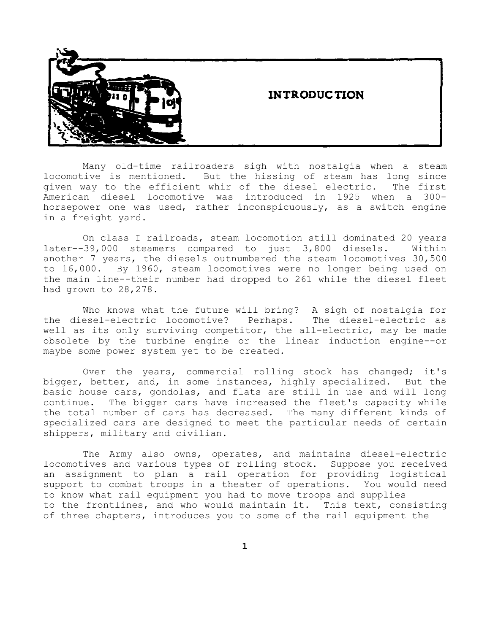# **INTRODUCTION**



Many old-time railroaders sigh with nostalgia when a steam locomotive is mentioned. But the hissing of steam has long since given way to the efficient whir of the diesel electric. The first American diesel locomotive was introduced in 1925 when a 300 horsepower one was used, rather inconspicuously, as a switch engine in a freight yard.

On class I railroads, steam locomotion still dominated 20 years later--39,000 steamers compared to just 3,800 diesels. Within another 7 years, the diesels outnumbered the steam locomotives 30,500 to 16,000. By 1960, steam locomotives were no longer being used on the main line--their number had dropped to 261 while the diesel fleet had grown to 28,278.

Who knows what the future will bring? A sigh of nostalgia for the diesel-electric locomotive? Perhaps. The diesel-electric as well as its only surviving competitor, the all-electric, may be made obsolete by the turbine engine or the linear induction engine--or maybe some power system yet to be created.

Over the years, commercial rolling stock has changed; it's bigger, better, and, in some instances, highly specialized. But the basic house cars, gondolas, and flats are still in use and will long continue. The bigger cars have increased the fleet's capacity while the total number of cars has decreased. The many different kinds of specialized cars are designed to meet the particular needs of certain shippers, military and civilian.

The Army also owns, operates, and maintains diesel-electric locomotives and various types of rolling stock. Suppose you received an assignment to plan a rail operation for providing logistical support to combat troops in a theater of operations. You would need to know what rail equipment you had to move troops and supplies to the frontlines, and who would maintain it. This text, consisting of three chapters, introduces you to some of the rail equipment the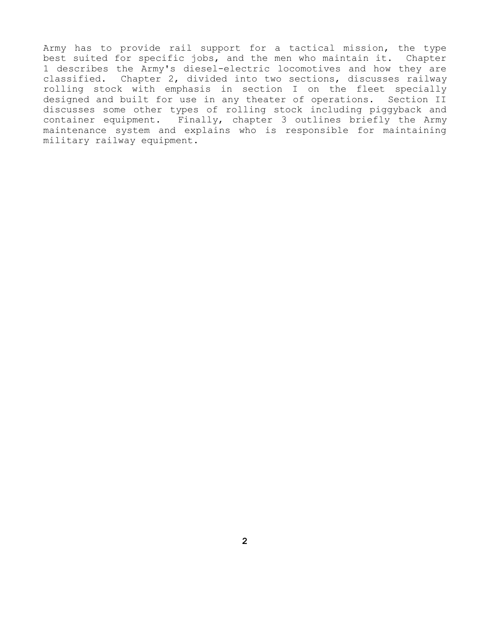Army has to provide rail support for a tactical mission, the type best suited for specific jobs, and the men who maintain it. Chapter 1 describes the Army's diesel-electric locomotives and how they are classified. Chapter 2, divided into two sections, discusses railway rolling stock with emphasis in section I on the fleet specially designed and built for use in any theater of operations. Section II discusses some other types of rolling stock including piggyback and container equipment. Finally, chapter 3 outlines briefly the Army maintenance system and explains who is responsible for maintaining military railway equipment.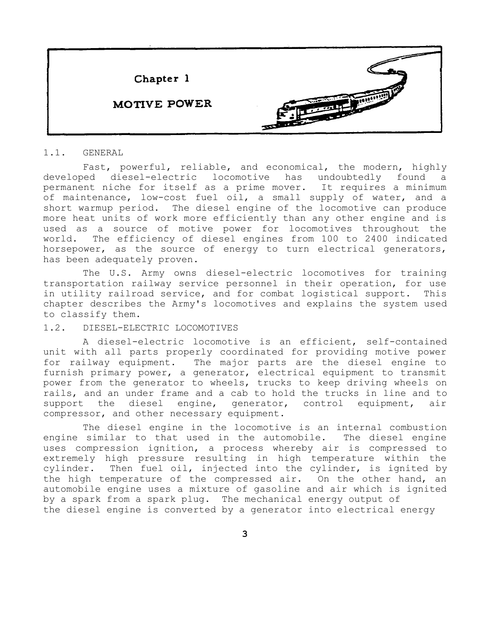

#### 1.1. GENERAL

Fast, powerful, reliable, and economical, the modern, highly developed diesel-electric locomotive has undoubtedly found a permanent niche for itself as a prime mover. It requires a minimum of maintenance, low-cost fuel oil, a small supply of water, and a short warmup period. The diesel engine of the locomotive can produce more heat units of work more efficiently than any other engine and is used as a source of motive power for locomotives throughout the world. The efficiency of diesel engines from 100 to 2400 indicated horsepower, as the source of energy to turn electrical generators, has been adequately proven.

The U.S. Army owns diesel-electric locomotives for training transportation railway service personnel in their operation, for use in utility railroad service, and for combat logistical support. This chapter describes the Army's locomotives and explains the system used to classify them.

### 1.2. DIESEL-ELECTRIC LOCOMOTIVES

A diesel-electric locomotive is an efficient, self-contained unit with all parts properly coordinated for providing motive power for railway equipment. The major parts are the diesel engine to furnish primary power, a generator, electrical equipment to transmit power from the generator to wheels, trucks to keep driving wheels on rails, and an under frame and a cab to hold the trucks in line and to support the diesel engine, generator, control equipment, air compressor, and other necessary equipment.

The diesel engine in the locomotive is an internal combustion engine similar to that used in the automobile. The diesel engine uses compression ignition, a process whereby air is compressed to extremely high pressure resulting in high temperature within the cylinder. Then fuel oil, injected into the cylinder, is ignited by the high temperature of the compressed air. On the other hand, an automobile engine uses a mixture of gasoline and air which is ignited by a spark from a spark plug. The mechanical energy output of the diesel engine is converted by a generator into electrical energy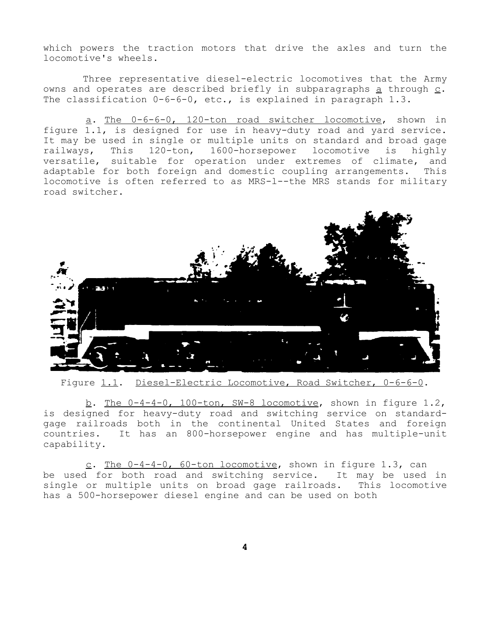which powers the traction motors that drive the axles and turn the locomotive's wheels.

Three representative diesel-electric locomotives that the Army owns and operates are described briefly in subparagraphs  $\underline{a}$  through  $\underline{c}$ . The classification 0-6-6-0, etc., is explained in paragraph 1.3.

a. The 0-6-6-0, 120-ton road switcher locomotive, shown in figure 1.1, is designed for use in heavy-duty road and yard service. It may be used in single or multiple units on standard and broad gage railways, This 120-ton, 1600-horsepower locomotive is highly versatile, suitable for operation under extremes of climate, and adaptable for both foreign and domestic coupling arrangements. This locomotive is often referred to as MRS-l--the MRS stands for military road switcher.



Figure 1.1. Diesel-Electric Locomotive, Road Switcher, 0-6-6-0.

b. The 0-4-4-0, 100-ton, SW-8 locomotive, shown in figure 1.2, is designed for heavy-duty road and switching service on standardgage railroads both in the continental United States and foreign countries. It has an 800-horsepower engine and has multiple-unit capability.

c. The 0-4-4-0, 60-ton locomotive, shown in figure 1.3, can be used for both road and switching service. It may be used in single or multiple units on broad gage railroads. This locomotive has a 500-horsepower diesel engine and can be used on both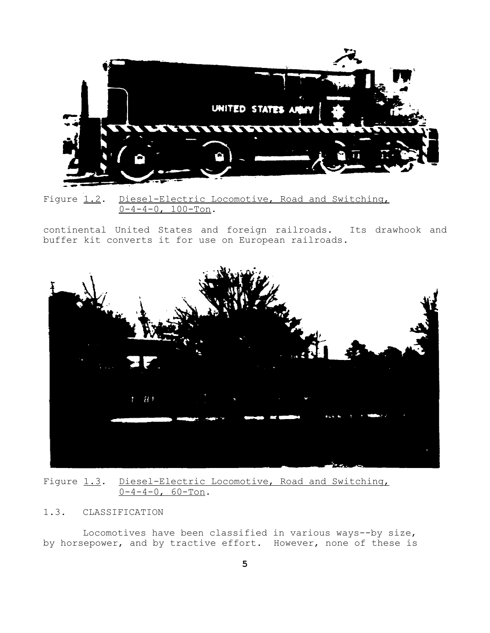

Figure 1.2. Diesel-Electric Locomotive, Road and Switching,  $0-4-4-0$ ,  $100-T$ on.

continental United States and foreign railroads. Its drawhook and buffer kit converts it for use on European railroads.



Figure 1.3. Diesel-Electric Locomotive, Road and Switching,  $0-4-4-0$ , 60-Ton.

# 1.3. CLASSIFICATION

Locomotives have been classified in various ways--by size, by horsepower, and by tractive effort. However, none of these is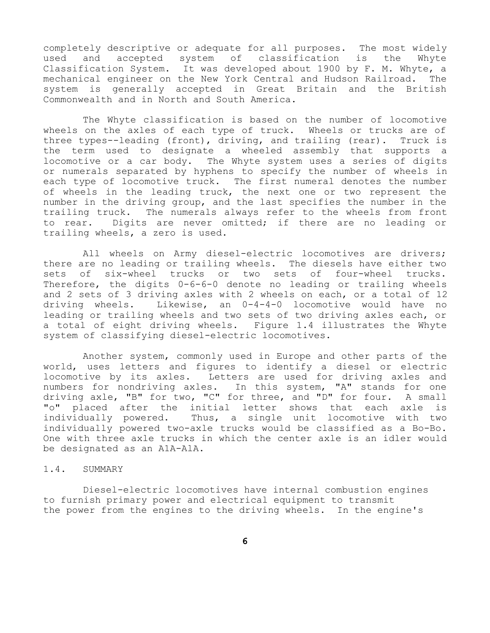completely descriptive or adequate for all purposes. The most widely used and accepted system of classification is the Whyte Classification System. It was developed about 1900 by F. M. Whyte, a mechanical engineer on the New York Central and Hudson Railroad. The system is generally accepted in Great Britain and the British Commonwealth and in North and South America.

The Whyte classification is based on the number of locomotive wheels on the axles of each type of truck. Wheels or trucks are of three types--leading (front), driving, and trailing (rear). Truck is the term used to designate a wheeled assembly that supports a locomotive or a car body. The Whyte system uses a series of digits or numerals separated by hyphens to specify the number of wheels in each type of locomotive truck. The first numeral denotes the number of wheels in the leading truck, the next one or two represent the number in the driving group, and the last specifies the number in the trailing truck. The numerals always refer to the wheels from front to rear. Digits are never omitted; if there are no leading or trailing wheels, a zero is used.

All wheels on Army diesel-electric locomotives are drivers; there are no leading or trailing wheels. The diesels have either two sets of six-wheel trucks or two sets of four-wheel trucks. Therefore, the digits 0-6-6-0 denote no leading or trailing wheels and 2 sets of 3 driving axles with 2 wheels on each, or a total of 12 driving wheels. Likewise, an 0-4-4-0 locomotive would have no leading or trailing wheels and two sets of two driving axles each, or a total of eight driving wheels. Figure 1.4 illustrates the Whyte system of classifying diesel-electric locomotives.

Another system, commonly used in Europe and other parts of the world, uses letters and figures to identify a diesel or electric locomotive by its axles. Letters are used for driving axles and numbers for nondriving axles. In this system, "A" stands for one driving axle, "B" for two, "C" for three, and "D" for four. A small "o" placed after the initial letter shows that each axle is individually powered. Thus, a single unit locomotive with two individually powered two-axle trucks would be classified as a Bo-Bo. One with three axle trucks in which the center axle is an idler would be designated as an A1A-AlA.

#### 1.4. SUMMARY

Diesel-electric locomotives have internal combustion engines to furnish primary power and electrical equipment to transmit the power from the engines to the driving wheels. In the engine's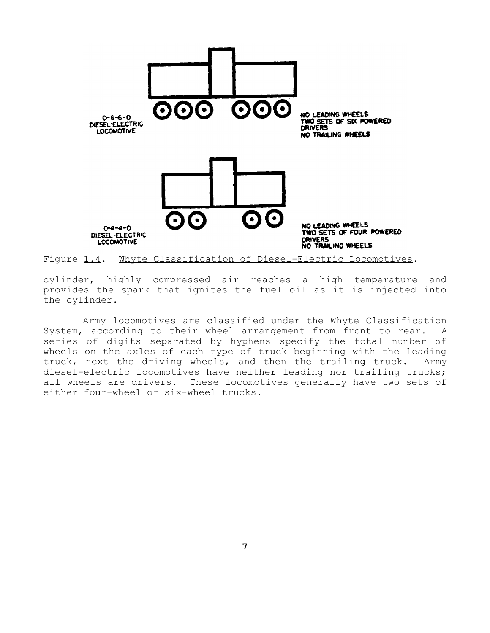

Figure 1.4. Whyte Classification of Diesel-Electric Locomotives.

cylinder, highly compressed air reaches a high temperature and provides the spark that ignites the fuel oil as it is injected into the cylinder.

Army locomotives are classified under the Whyte Classification System, according to their wheel arrangement from front to rear. A series of digits separated by hyphens specify the total number of wheels on the axles of each type of truck beginning with the leading truck, next the driving wheels, and then the trailing truck. Army diesel-electric locomotives have neither leading nor trailing trucks; all wheels are drivers. These locomotives generally have two sets of either four-wheel or six-wheel trucks.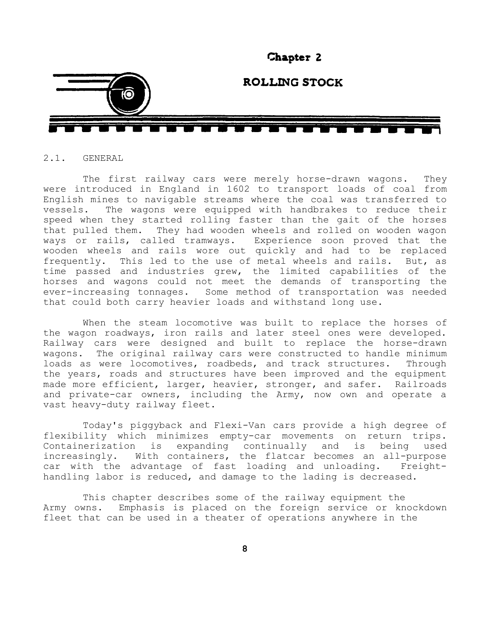

# 2.1. GENERAL

The first railway cars were merely horse-drawn wagons. They were introduced in England in 1602 to transport loads of coal from English mines to navigable streams where the coal was transferred to vessels. The wagons were equipped with handbrakes to reduce their speed when they started rolling faster than the gait of the horses that pulled them. They had wooden wheels and rolled on wooden wagon ways or rails, called tramways. Experience soon proved that the wooden wheels and rails wore out quickly and had to be replaced frequently. This led to the use of metal wheels and rails. But, as time passed and industries grew, the limited capabilities of the horses and wagons could not meet the demands of transporting the ever-increasing tonnages. Some method of transportation was needed that could both carry heavier loads and withstand long use.

When the steam locomotive was built to replace the horses of the wagon roadways, iron rails and later steel ones were developed. Railway cars were designed and built to replace the horse-drawn wagons. The original railway cars were constructed to handle minimum loads as were locomotives, roadbeds, and track structures. Through the years, roads and structures have been improved and the equipment made more efficient, larger, heavier, stronger, and safer. Railroads and private-car owners, including the Army, now own and operate a vast heavy-duty railway fleet.

Today's piggyback and Flexi-Van cars provide a high degree of flexibility which minimizes empty-car movements on return trips. Containerization is expanding continually and is being used increasingly. With containers, the flatcar becomes an all-purpose car with the advantage of fast loading and unloading. Freighthandling labor is reduced, and damage to the lading is decreased.

This chapter describes some of the railway equipment the Army owns. Emphasis is placed on the foreign service or knockdown fleet that can be used in a theater of operations anywhere in the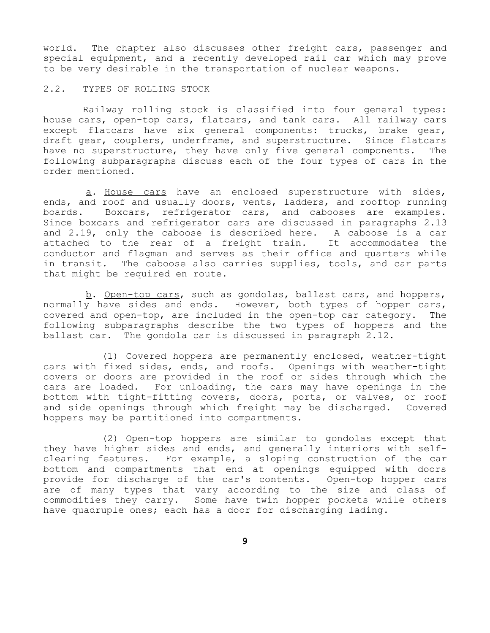world. The chapter also discusses other freight cars, passenger and special equipment, and a recently developed rail car which may prove to be very desirable in the transportation of nuclear weapons.

2.2. TYPES OF ROLLING STOCK

Railway rolling stock is classified into four general types: house cars, open-top cars, flatcars, and tank cars. All railway cars except flatcars have six general components: trucks, brake gear, draft gear, couplers, underframe, and superstructure. Since flatcars have no superstructure, they have only five general components. The following subparagraphs discuss each of the four types of cars in the order mentioned.

a. House cars have an enclosed superstructure with sides, ends, and roof and usually doors, vents, ladders, and rooftop running boards. Boxcars, refrigerator cars, and cabooses are examples. Since boxcars and refrigerator cars are discussed in paragraphs 2.13 and 2.19, only the caboose is described here. A caboose is a car attached to the rear of a freight train. It accommodates the conductor and flagman and serves as their office and quarters while in transit. The caboose also carries supplies, tools, and car parts that might be required en route.

b. Open-top cars, such as gondolas, ballast cars, and hoppers, normally have sides and ends. However, both types of hopper cars, covered and open-top, are included in the open-top car category. The following subparagraphs describe the two types of hoppers and the ballast car. The gondola car is discussed in paragraph 2.12.

(1) Covered hoppers are permanently enclosed, weather-tight cars with fixed sides, ends, and roofs. Openings with weather-tight covers or doors are provided in the roof or sides through which the cars are loaded. For unloading, the cars may have openings in the bottom with tight-fitting covers, doors, ports, or valves, or roof and side openings through which freight may be discharged. Covered hoppers may be partitioned into compartments.

(2) Open-top hoppers are similar to gondolas except that they have higher sides and ends, and generally interiors with selfclearing features. For example, a sloping construction of the car bottom and compartments that end at openings equipped with doors provide for discharge of the car's contents. Open-top hopper cars are of many types that vary according to the size and class of commodities they carry. Some have twin hopper pockets while others have quadruple ones; each has a door for discharging lading.

**9**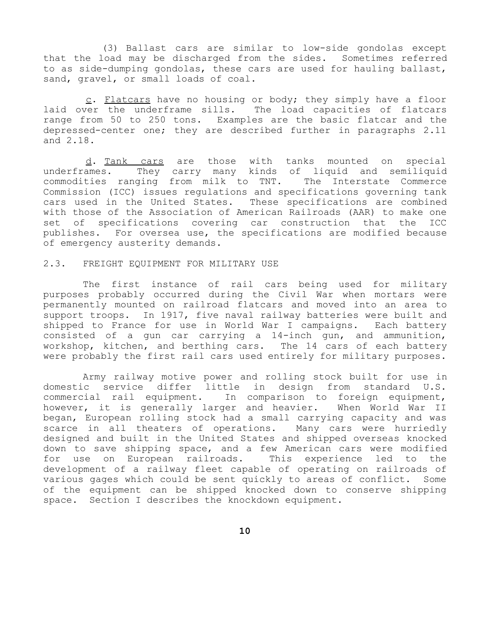(3) Ballast cars are similar to low-side gondolas except that the load may be discharged from the sides. Sometimes referred to as side-dumping gondolas, these cars are used for hauling ballast, sand, gravel, or small loads of coal.

c. Flatcars have no housing or body; they simply have a floor laid over the underframe sills. The load capacities of flatcars range from 50 to 250 tons. Examples are the basic flatcar and the depressed-center one; they are described further in paragraphs 2.11 and 2.18.

d. Tank cars are those with tanks mounted on special underframes. They carry many kinds of liquid and semiliquid commodities ranging from milk to TNT. The Interstate Commerce Commission (ICC) issues regulations and specifications governing tank cars used in the United States. These specifications are combined with those of the Association of American Railroads (AAR) to make one set of specifications covering car construction that the ICC publishes. For oversea use, the specifications are modified because of emergency austerity demands.

#### 2.3. FREIGHT EQUIPMENT FOR MILITARY USE

The first instance of rail cars being used for military purposes probably occurred during the Civil War when mortars were permanently mounted on railroad flatcars and moved into an area to support troops. In 1917, five naval railway batteries were built and shipped to France for use in World War I campaigns. Each battery consisted of a gun car carrying a 14-inch gun, and ammunition, workshop, kitchen, and berthing cars. The 14 cars of each battery were probably the first rail cars used entirely for military purposes.

Army railway motive power and rolling stock built for use in domestic service differ little in design from standard U.S. commercial rail equipment. In comparison to foreign equipment, however, it is generally larger and heavier. When World War II began, European rolling stock had a small carrying capacity and was scarce in all theaters of operations. Many cars were hurriedly designed and built in the United States and shipped overseas knocked down to save shipping space, and a few American cars were modified for use on European railroads. This experience led to the development of a railway fleet capable of operating on railroads of various gages which could be sent quickly to areas of conflict. Some of the equipment can be shipped knocked down to conserve shipping space. Section I describes the knockdown equipment.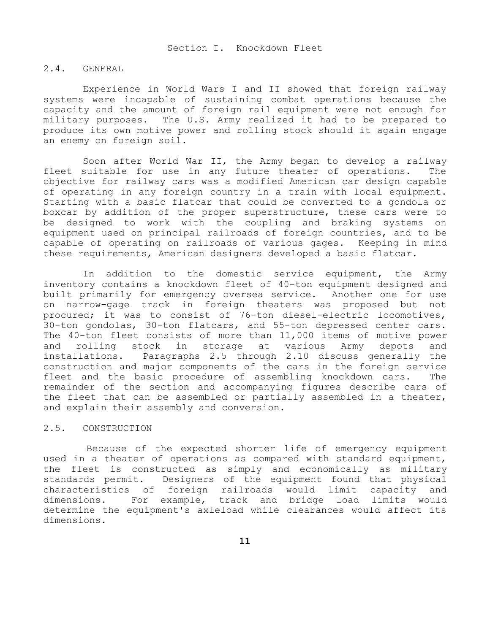#### 2.4. GENERAL

Experience in World Wars I and II showed that foreign railway systems were incapable of sustaining combat operations because the capacity and the amount of foreign rail equipment were not enough for military purposes. The U.S. Army realized it had to be prepared to produce its own motive power and rolling stock should it again engage an enemy on foreign soil.

Soon after World War II, the Army began to develop a railway fleet suitable for use in any future theater of operations. The objective for railway cars was a modified American car design capable of operating in any foreign country in a train with local equipment. Starting with a basic flatcar that could be converted to a gondola or boxcar by addition of the proper superstructure, these cars were to be designed to work with the coupling and braking systems on equipment used on principal railroads of foreign countries, and to be capable of operating on railroads of various gages. Keeping in mind these requirements, American designers developed a basic flatcar.

In addition to the domestic service equipment, the Army inventory contains a knockdown fleet of 40-ton equipment designed and built primarily for emergency oversea service. Another one for use on narrow-gage track in foreign theaters was proposed but not procured; it was to consist of 76-ton diesel-electric locomotives, 30-ton gondolas, 30-ton flatcars, and 55-ton depressed center cars. The 40-ton fleet consists of more than 11,000 items of motive power and rolling stock in storage at various Army depots and installations. Paragraphs 2.5 through 2.10 discuss generally the construction and major components of the cars in the foreign service fleet and the basic procedure of assembling knockdown cars. The remainder of the section and accompanying figures describe cars of the fleet that can be assembled or partially assembled in a theater, and explain their assembly and conversion.

#### 2.5. CONSTRUCTION

Because of the expected shorter life of emergency equipment used in a theater of operations as compared with standard equipment, the fleet is constructed as simply and economically as military standards permit. Designers of the equipment found that physical characteristics of foreign railroads would limit capacity and dimensions. For example, track and bridge load limits would determine the equipment's axleload while clearances would affect its dimensions.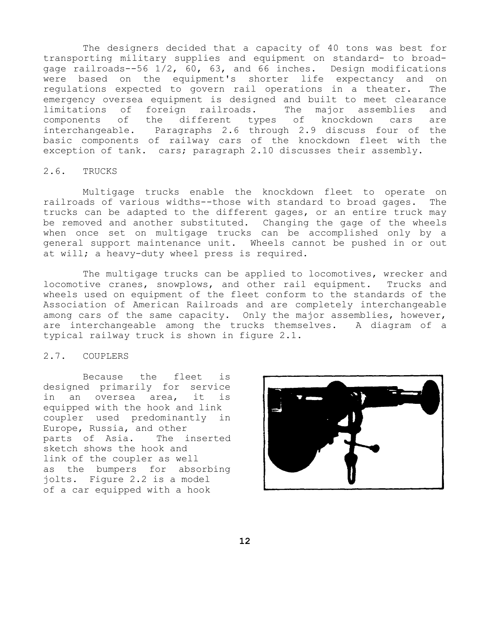The designers decided that a capacity of 40 tons was best for transporting military supplies and equipment on standard- to broadgage railroads--56 1/2, 60, 63, and 66 inches. Design modifications were based on the equipment's shorter life expectancy and on regulations expected to govern rail operations in a theater. The emergency oversea equipment is designed and built to meet clearance limitations of foreign railroads. The major assemblies and components of the different types of knockdown cars are interchangeable. Paragraphs 2.6 through 2.9 discuss four of the basic components of railway cars of the knockdown fleet with the exception of tank. cars; paragraph 2.10 discusses their assembly.

### 2.6. TRUCKS

Multigage trucks enable the knockdown fleet to operate on railroads of various widths--those with standard to broad gages. The trucks can be adapted to the different gages, or an entire truck may be removed and another substituted. Changing the gage of the wheels when once set on multigage trucks can be accomplished only by a general support maintenance unit. Wheels cannot be pushed in or out at will; a heavy-duty wheel press is required.

The multigage trucks can be applied to locomotives, wrecker and locomotive cranes, snowplows, and other rail equipment. Trucks and wheels used on equipment of the fleet conform to the standards of the Association of American Railroads and are completely interchangeable among cars of the same capacity. Only the major assemblies, however, are interchangeable among the trucks themselves. A diagram of a typical railway truck is shown in figure 2.1.

## 2.7. COUPLERS

Because the fleet is designed primarily for service in an oversea area, it is equipped with the hook and link coupler used predominantly in Europe, Russia, and other<br>parts of Asia. The inserted parts of Asia. sketch shows the hook and link of the coupler as well as the bumpers for absorbing jolts. Figure 2.2 is a model of a car equipped with a hook

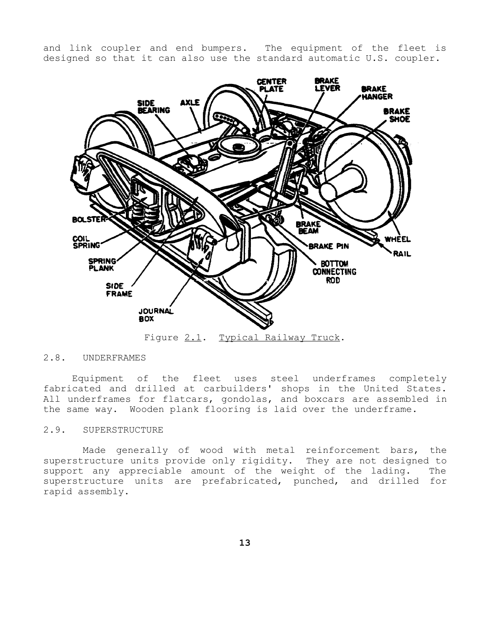and link coupler and end bumpers. The equipment of the fleet is designed so that it can also use the standard automatic U.S. coupler.



Figure 2.1. Typical Railway Truck.

# 2.8. UNDERFRAMES

Equipment of the fleet uses steel underframes completely fabricated and drilled at carbuilders' shops in the United States. All underframes for flatcars, gondolas, and boxcars are assembled in the same way. Wooden plank flooring is laid over the underframe.

### 2.9. SUPERSTRUCTURE

Made generally of wood with metal reinforcement bars, the superstructure units provide only rigidity. They are not designed to support any appreciable amount of the weight of the lading. The superstructure units are prefabricated, punched, and drilled for rapid assembly.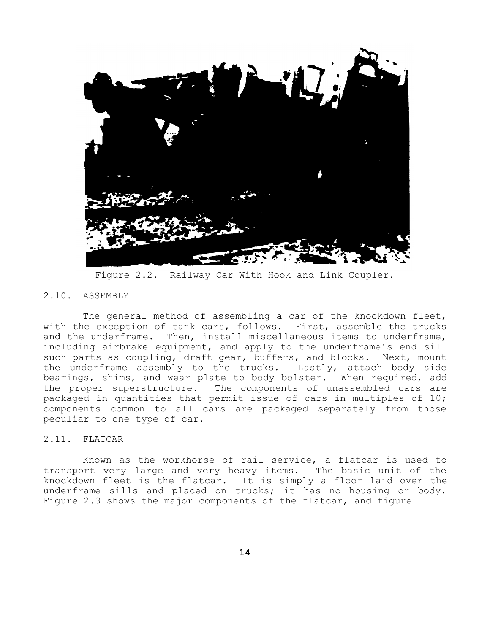

Figure 2.2. Railway Car With Hook and Link Coupler.

# 2.10. ASSEMBLY

The general method of assembling a car of the knockdown fleet, with the exception of tank cars, follows. First, assemble the trucks and the underframe. Then, install miscellaneous items to underframe, including airbrake equipment, and apply to the underframe's end sill such parts as coupling, draft gear, buffers, and blocks. Next, mount the underframe assembly to the trucks. Lastly, attach body side bearings, shims, and wear plate to body bolster. When required, add the proper superstructure. The components of unassembled cars are packaged in quantities that permit issue of cars in multiples of 10; components common to all cars are packaged separately from those peculiar to one type of car.

# 2.11. FLATCAR

Known as the workhorse of rail service, a flatcar is used to transport very large and very heavy items. The basic unit of the knockdown fleet is the flatcar. It is simply a floor laid over the underframe sills and placed on trucks; it has no housing or body. Figure 2.3 shows the major components of the flatcar, and figure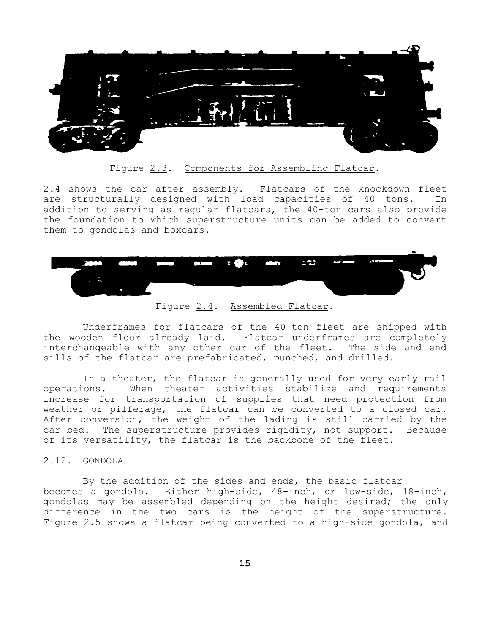

Figure 2.3. Components for Assembling Flatcar.

2.4 shows the car after assembly. Flatcars of the knockdown fleet are structurally designed with load capacities of 40 tons. In addition to serving as regular flatcars, the 40-ton cars also provide the foundation to which superstructure units can be added to convert them to gondolas and boxcars.



Figure 2.4. Assembled Flatcar.

Underframes for flatcars of the 40-ton fleet are shipped with the wooden floor already laid. Flatcar underframes are completely interchangeable with any other car of the fleet. The side and end sills of the flatcar are prefabricated, punched, and drilled.

In a theater, the flatcar is generally used for very early rail operations. When theater activities stabilize and requirements increase for transportation of supplies that need protection from weather or pilferage, the flatcar can be converted to a closed car. After conversion, the weight of the lading is still carried by the car bed. The superstructure provides rigidity, not support. Because of its versatility, the flatcar is the backbone of the fleet.

# 2.12. GONDOLA

By the addition of the sides and ends, the basic flatcar becomes a gondola. Either high-side, 48-inch, or low-side, 18-inch, gondolas may be assembled depending on the height desired; the only difference in the two cars is the height of the superstructure. Figure 2.5 shows a flatcar being converted to a high-side gondola, and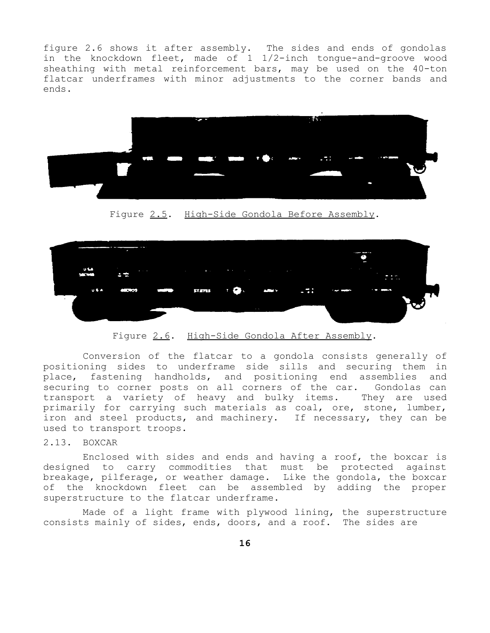figure 2.6 shows it after assembly. The sides and ends of gondolas in the knockdown fleet, made of 1 1/2-inch tongue-and-groove wood sheathing with metal reinforcement bars, may be used on the 40-ton flatcar underframes with minor adjustments to the corner bands and ends.



Figure 2.5. High-Side Gondola Before Assembly.



Figure 2.6. High-Side Gondola After Assembly.

Conversion of the flatcar to a gondola consists generally of positioning sides to underframe side sills and securing them in place, fastening handholds, and positioning end assemblies and securing to corner posts on all corners of the car. Gondolas can transport a variety of heavy and bulky items. They are used primarily for carrying such materials as coal, ore, stone, lumber, iron and steel products, and machinery. If necessary, they can be used to transport troops.

# 2.13. BOXCAR

Enclosed with sides and ends and having a roof, the boxcar is designed to carry commodities that must be protected against breakage, pilferage, or weather damage. Like the gondola, the boxcar of the knockdown fleet can be assembled by adding the proper superstructure to the flatcar underframe.

Made of a light frame with plywood lining, the superstructure consists mainly of sides, ends, doors, and a roof. The sides are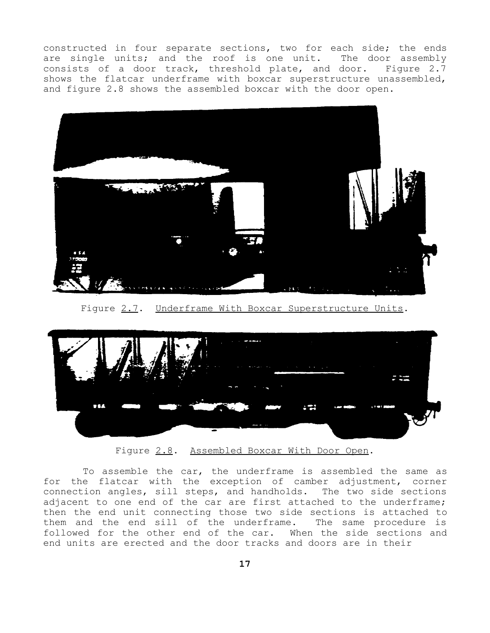constructed in four separate sections, two for each side; the ends are single units; and the roof is one unit. The door assembly consists of a door track, threshold plate, and door. Figure 2.7 shows the flatcar underframe with boxcar superstructure unassembled, and figure 2.8 shows the assembled boxcar with the door open.



Figure 2.7. Underframe With Boxcar Superstructure Units.



Figure 2.8. Assembled Boxcar With Door Open.

To assemble the car, the underframe is assembled the same as for the flatcar with the exception of camber adjustment, corner connection angles, sill steps, and handholds. The two side sections adjacent to one end of the car are first attached to the underframe; then the end unit connecting those two side sections is attached to them and the end sill of the underframe. The same procedure is followed for the other end of the car. When the side sections and end units are erected and the door tracks and doors are in their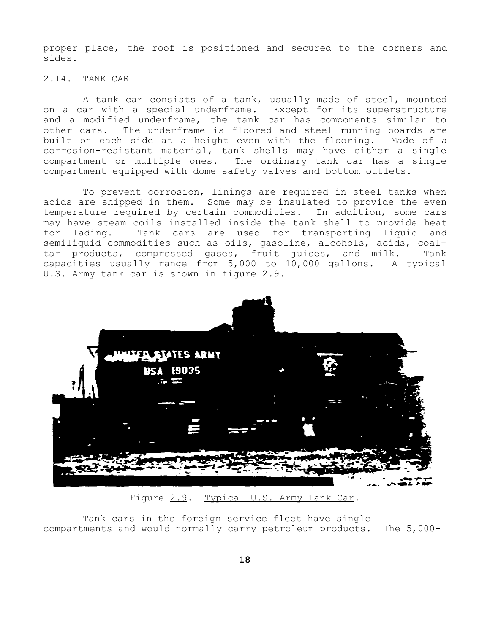proper place, the roof is positioned and secured to the corners and sides.

# 2.14. TANK CAR

A tank car consists of a tank, usually made of steel, mounted on a car with a special underframe. Except for its superstructure and a modified underframe, the tank car has components similar to other cars. The underframe is floored and steel running boards are built on each side at a height even with the flooring. Made of a corrosion-resistant material, tank shells may have either a single compartment or multiple ones. The ordinary tank car has a single compartment equipped with dome safety valves and bottom outlets.

To prevent corrosion, linings are required in steel tanks when acids are shipped in them. Some may be insulated to provide the even temperature required by certain commodities. In addition, some cars may have steam coils installed inside the tank shell to provide heat<br>for lading. Tank cars are used for transporting liquid and Tank cars are used for transporting liquid and semiliquid commodities such as oils, gasoline, alcohols, acids, coaltar products, compressed gases, fruit juices, and milk. Tank capacities usually range from 5,000 to 10,000 gallons. A typical U.S. Army tank car is shown in figure 2.9.



Figure 2.9. Typical U.S. Army Tank Car.

Tank cars in the foreign service fleet have single compartments and would normally carry petroleum products. The 5,000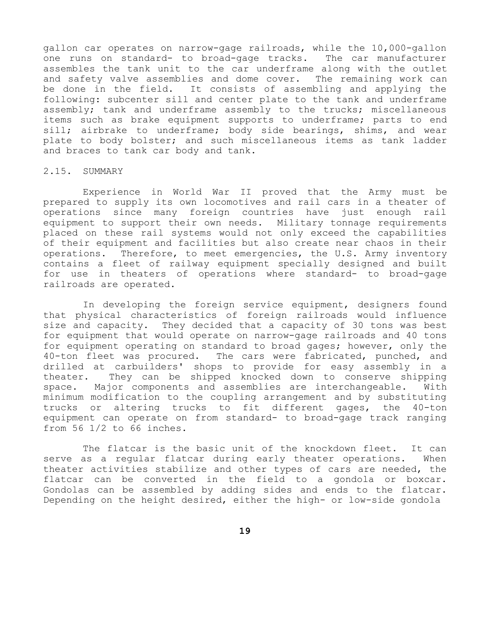gallon car operates on narrow-gage railroads, while the 10,000-gallon one runs on standard- to broad-gage tracks. The car manufacturer assembles the tank unit to the car underframe along with the outlet and safety valve assemblies and dome cover. The remaining work can be done in the field. It consists of assembling and applying the following: subcenter sill and center plate to the tank and underframe assembly; tank and underframe assembly to the trucks; miscellaneous items such as brake equipment supports to underframe; parts to end sill; airbrake to underframe; body side bearings, shims, and wear plate to body bolster; and such miscellaneous items as tank ladder and braces to tank car body and tank.

#### 2.15. SUMMARY

Experience in World War II proved that the Army must be prepared to supply its own locomotives and rail cars in a theater of operations since many foreign countries have just enough rail equipment to support their own needs. Military tonnage requirements placed on these rail systems would not only exceed the capabilities of their equipment and facilities but also create near chaos in their operations. Therefore, to meet emergencies, the U.S. Army inventory contains a fleet of railway equipment specially designed and built for use in theaters of operations where standard- to broad-gage railroads are operated.

In developing the foreign service equipment, designers found that physical characteristics of foreign railroads would influence size and capacity. They decided that a capacity of 30 tons was best for equipment that would operate on narrow-gage railroads and 40 tons for equipment operating on standard to broad gages; however, only the 40-ton fleet was procured. The cars were fabricated, punched, and drilled at carbuilders' shops to provide for easy assembly in a theater. They can be shipped knocked down to conserve shipping space. Major components and assemblies are interchangeable. With minimum modification to the coupling arrangement and by substituting trucks or altering trucks to fit different gages, the 40-ton equipment can operate on from standard- to broad-gage track ranging from 56 1/2 to 66 inches.

The flatcar is the basic unit of the knockdown fleet. It can serve as a regular flatcar during early theater operations. When theater activities stabilize and other types of cars are needed, the flatcar can be converted in the field to a gondola or boxcar. Gondolas can be assembled by adding sides and ends to the flatcar. Depending on the height desired, either the high- or low-side gondola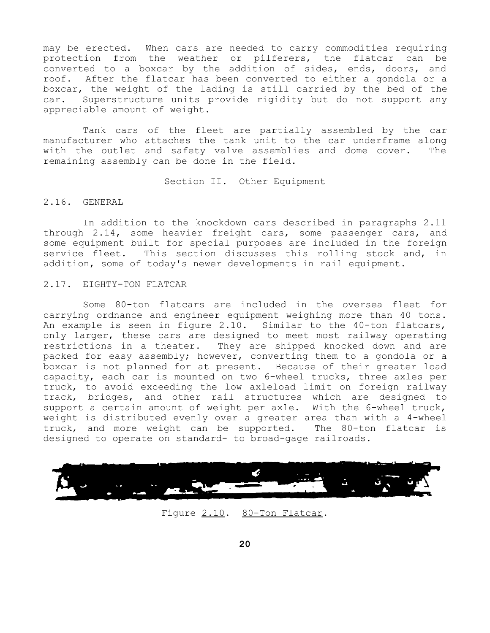may be erected. When cars are needed to carry commodities requiring protection from the weather or pilferers, the flatcar can be converted to a boxcar by the addition of sides, ends, doors, and roof. After the flatcar has been converted to either a gondola or a boxcar, the weight of the lading is still carried by the bed of the car. Superstructure units provide rigidity but do not support any appreciable amount of weight.

Tank cars of the fleet are partially assembled by the car manufacturer who attaches the tank unit to the car underframe along with the outlet and safety valve assemblies and dome cover. The remaining assembly can be done in the field.

#### Section II. Other Equipment

# 2.16. GENERAL

In addition to the knockdown cars described in paragraphs 2.11 through 2.14, some heavier freight cars, some passenger cars, and some equipment built for special purposes are included in the foreign service fleet. This section discusses this rolling stock and, in addition, some of today's newer developments in rail equipment.

### 2.17. EIGHTY-TON FLATCAR

Some 80-ton flatcars are included in the oversea fleet for carrying ordnance and engineer equipment weighing more than 40 tons. An example is seen in figure 2.10. Similar to the 40-ton flatcars, only larger, these cars are designed to meet most railway operating restrictions in a theater. They are shipped knocked down and are packed for easy assembly; however, converting them to a gondola or a boxcar is not planned for at present. Because of their greater load capacity, each car is mounted on two 6-wheel trucks, three axles per truck, to avoid exceeding the low axleload limit on foreign railway track, bridges, and other rail structures which are designed to support a certain amount of weight per axle. With the 6-wheel truck, weight is distributed evenly over a greater area than with a 4-wheel truck, and more weight can be supported. The 80-ton flatcar is designed to operate on standard- to broad-gage railroads.



#### Figure 2.10. 80-Ton Flatcar.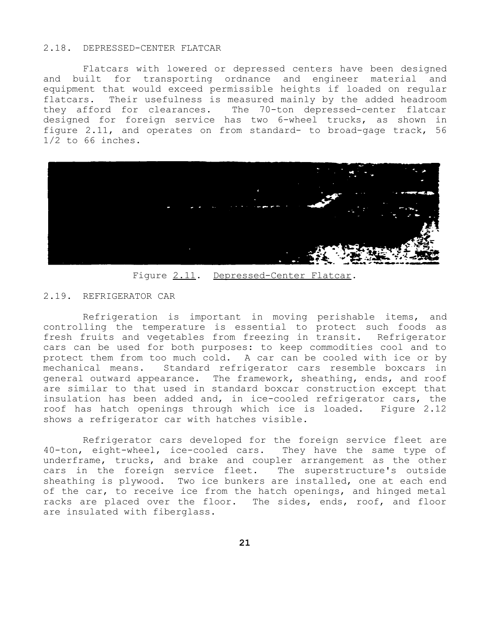#### 2.18. DEPRESSED-CENTER FLATCAR

Flatcars with lowered or depressed centers have been designed and built for transporting ordnance and engineer material and equipment that would exceed permissible heights if loaded on regular flatcars. Their usefulness is measured mainly by the added headroom they afford for clearances. The 70-ton depressed-center flatcar designed for foreign service has two 6-wheel trucks, as shown in figure 2.11, and operates on from standard- to broad-gage track, 56 1/2 to 66 inches.



Figure 2.11. Depressed-Center Flatcar.

#### 2.19. REFRIGERATOR CAR

Refrigeration is important in moving perishable items, and controlling the temperature is essential to protect such foods as fresh fruits and vegetables from freezing in transit. Refrigerator cars can be used for both purposes: to keep commodities cool and to protect them from too much cold. A car can be cooled with ice or by mechanical means. Standard refrigerator cars resemble boxcars in general outward appearance. The framework, sheathing, ends, and roof are similar to that used in standard boxcar construction except that insulation has been added and, in ice-cooled refrigerator cars, the roof has hatch openings through which ice is loaded. Figure 2.12 shows a refrigerator car with hatches visible.

Refrigerator cars developed for the foreign service fleet are 40-ton, eight-wheel, ice-cooled cars. They have the same type of underframe, trucks, and brake and coupler arrangement as the other cars in the foreign service fleet. The superstructure's outside sheathing is plywood. Two ice bunkers are installed, one at each end of the car, to receive ice from the hatch openings, and hinged metal racks are placed over the floor. The sides, ends, roof, and floor are insulated with fiberglass.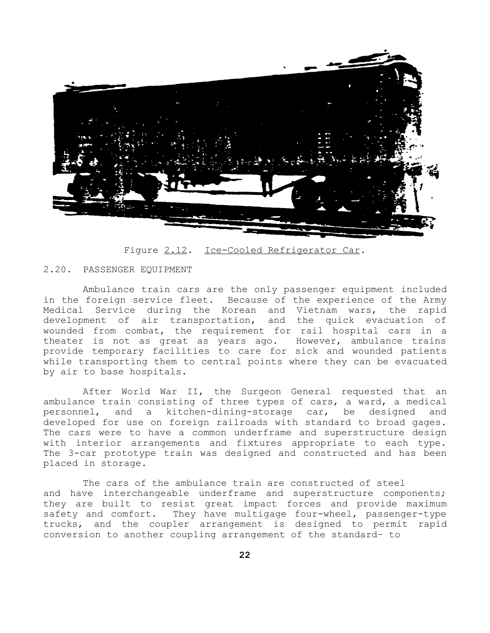

Figure 2.12. Ice-Cooled Refrigerator Car.

#### 2.20. PASSENGER EQUIPMENT

Ambulance train cars are the only passenger equipment included in the foreign service fleet. Because of the experience of the Army Medical Service during the Korean and Vietnam wars, the rapid development of air transportation, and the quick evacuation of wounded from combat, the requirement for rail hospital cars in a theater is not as great as years ago. However, ambulance trains provide temporary facilities to care for sick and wounded patients while transporting them to central points where they can be evacuated by air to base hospitals.

After World War II, the Surgeon General requested that an ambulance train consisting of three types of cars, a ward, a medical personnel, and a kitchen-dining-storage car, be designed and developed for use on foreign railroads with standard to broad gages. The cars were to have a common underframe and superstructure design with interior arrangements and fixtures appropriate to each type. The 3-car prototype train was designed and constructed and has been placed in storage.

The cars of the ambulance train are constructed of steel and have interchangeable underframe and superstructure components; they are built to resist great impact forces and provide maximum safety and comfort. They have multigage four-wheel, passenger-type trucks, and the coupler arrangement is designed to permit rapid conversion to another coupling arrangement of the standard– to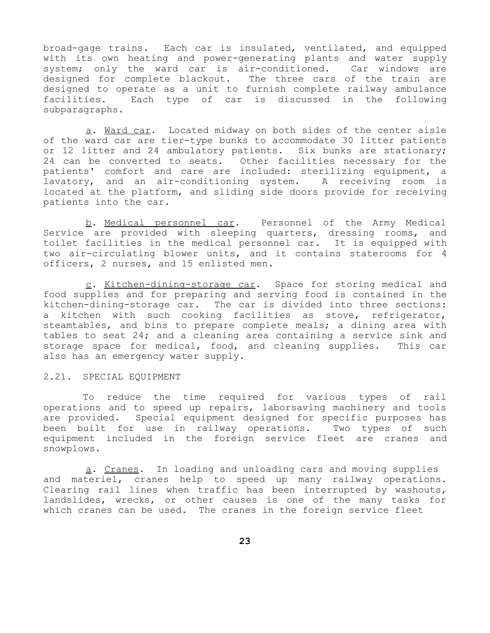broad-gage trains. Each car is insulated, ventilated, and equipped with its own heating and power-generating plants and water supply system; only the ward car is air-conditioned. Car windows are designed for complete blackout. The three cars of the train are designed to operate as a unit to furnish complete railway ambulance facilities. Each type of car is discussed in the following subparagraphs.

a. Ward car. Located midway on both sides of the center aisle of the ward car are tier-type bunks to accommodate 30 litter patients or 12 litter and 24 ambulatory patients. Six bunks are stationary; 24 can be converted to seats. Other facilities necessary for the patients' comfort and care are included: sterilizing equipment, a lavatory, and an air-conditioning system. A receiving room is located at the platform, and sliding side doors provide for receiving patients into the car.

b. Medical personnel car. Personnel of the Army Medical Service are provided with sleeping quarters, dressing rooms, and toilet facilities in the medical personnel car. It is equipped with two air-circulating blower units, and it contains staterooms for 4 officers, 2 nurses, and 15 enlisted men.

c. Kitchen-dining-storage car. Space for storing medical and food supplies and for preparing and serving food is contained in the kitchen-dining-storage car. The car is divided into three sections: a kitchen with such cooking facilities as stove, refrigerator, steamtables, and bins to prepare complete meals; a dining area with tables to seat 24; and a cleaning area containing a service sink and storage space for medical, food, and cleaning supplies. This car also has an emergency water supply.

#### 2.21. SPECIAL EQUIPMENT

To reduce the time required for various types of rail operations and to speed up repairs, laborsaving machinery and tools are provided. Special equipment designed for specific purposes has been built for use in railway operations. Two types of such equipment included in the foreign service fleet are cranes and snowplows.

a. Cranes. In loading and unloading cars and moving supplies and materiel, cranes help to speed up many railway operations. Clearing rail lines when traffic has been interrupted by washouts, landslides, wrecks, or other causes is one of the many tasks for which cranes can be used. The cranes in the foreign service fleet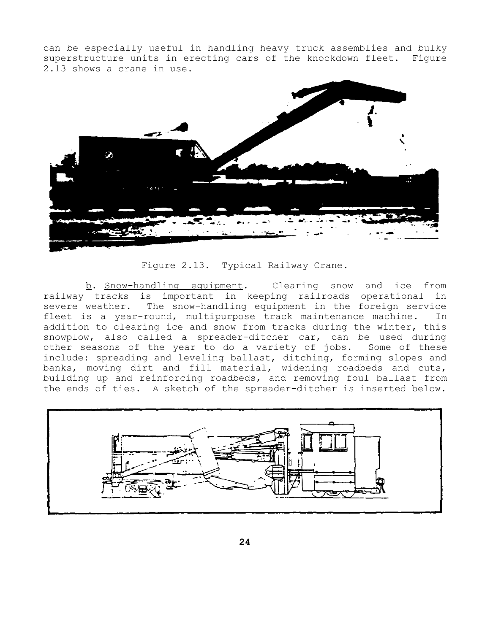can be especially useful in handling heavy truck assemblies and bulky superstructure units in erecting cars of the knockdown fleet. Figure 2.13 shows a crane in use.



Figure 2.13. Typical Railway Crane.

b. Snow-handling equipment. Clearing snow and ice from railway tracks is important in keeping railroads operational in severe weather. The snow-handling equipment in the foreign service fleet is a year-round, multipurpose track maintenance machine. In addition to clearing ice and snow from tracks during the winter, this snowplow, also called a spreader-ditcher car, can be used during other seasons of the year to do a variety of jobs. Some of these include: spreading and leveling ballast, ditching, forming slopes and banks, moving dirt and fill material, widening roadbeds and cuts, building up and reinforcing roadbeds, and removing foul ballast from the ends of ties. A sketch of the spreader-ditcher is inserted below.

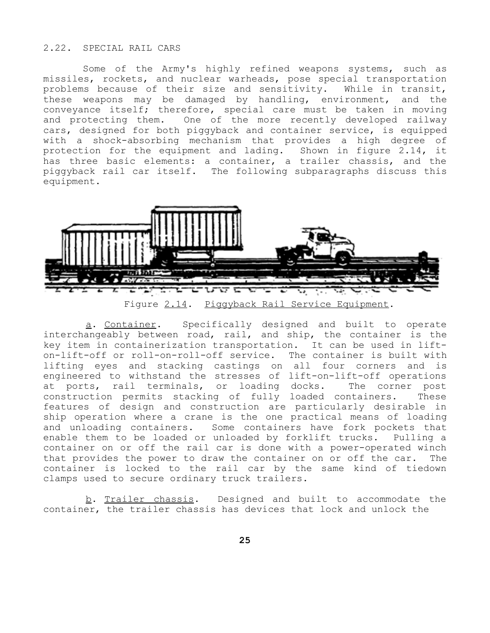# 2.22. SPECIAL RAIL CARS

Some of the Army's highly refined weapons systems, such as missiles, rockets, and nuclear warheads, pose special transportation problems because of their size and sensitivity. While in transit, these weapons may be damaged by handling, environment, and the conveyance itself; therefore, special care must be taken in moving and protecting them. One of the more recently developed railway cars, designed for both piggyback and container service, is equipped with a shock-absorbing mechanism that provides a high degree of protection for the equipment and lading. Shown in figure 2.14, it has three basic elements: a container, a trailer chassis, and the piggyback rail car itself. The following subparagraphs discuss this equipment.



a. Container. Specifically designed and built to operate interchangeably between road, rail, and ship, the container is the key item in containerization transportation. It can be used in lifton-lift-off or roll-on-roll-off service. The container is built with lifting eyes and stacking castings on all four corners and is engineered to withstand the stresses of lift-on-lift-off operations at ports, rail terminals, or loading docks. The corner post construction permits stacking of fully loaded containers. These features of design and construction are particularly desirable in ship operation where a crane is the one practical means of loading and unloading containers. Some containers have fork pockets that enable them to be loaded or unloaded by forklift trucks. Pulling a container on or off the rail car is done with a power-operated winch that provides the power to draw the container on or off the car. The container is locked to the rail car by the same kind of tiedown clamps used to secure ordinary truck trailers.

b. Trailer chassis. Designed and built to accommodate the container, the trailer chassis has devices that lock and unlock the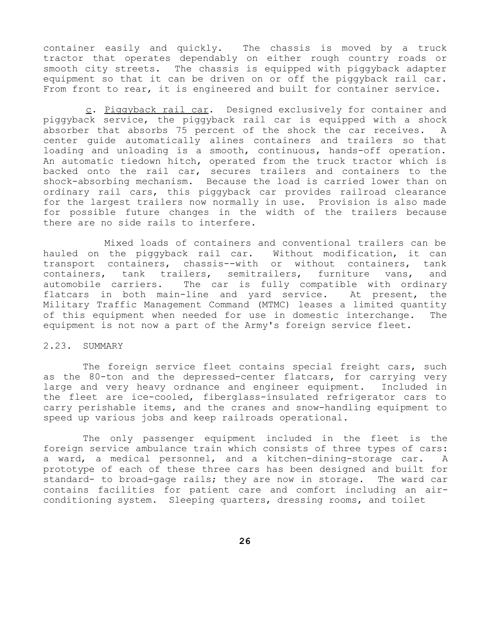container easily and quickly. The chassis is moved by a truck tractor that operates dependably on either rough country roads or smooth city streets. The chassis is equipped with piggyback adapter equipment so that it can be driven on or off the piggyback rail car. From front to rear, it is engineered and built for container service.

c. Piggyback rail car. Designed exclusively for container and piggyback service, the piggyback rail car is equipped with a shock absorber that absorbs 75 percent of the shock the car receives. A center guide automatically alines containers and trailers so that loading and unloading is a smooth, continuous, hands-off operation. An automatic tiedown hitch, operated from the truck tractor which is backed onto the rail car, secures trailers and containers to the shock-absorbing mechanism. Because the load is carried lower than on ordinary rail cars, this piggyback car provides railroad clearance for the largest trailers now normally in use. Provision is also made for possible future changes in the width of the trailers because there are no side rails to interfere.

Mixed loads of containers and conventional trailers can be hauled on the piggyback rail car. Without modification, it can transport containers, chassis--with or without containers, tank containers, tank trailers, semitrailers, furniture vans, and automobile carriers. The car is fully compatible with ordinary flatcars in both main-line and yard service. At present, the Military Traffic Management Command (MTMC) leases a limited quantity of this equipment when needed for use in domestic interchange. The equipment is not now a part of the Army's foreign service fleet.

#### 2.23. SUMMARY

The foreign service fleet contains special freight cars, such as the 80-ton and the depressed-center flatcars, for carrying very large and very heavy ordnance and engineer equipment. Included in the fleet are ice-cooled, fiberglass-insulated refrigerator cars to carry perishable items, and the cranes and snow-handling equipment to speed up various jobs and keep railroads operational.

The only passenger equipment included in the fleet is the foreign service ambulance train which consists of three types of cars: a ward, a medical personnel, and a kitchen-dining-storage car. A prototype of each of these three cars has been designed and built for standard- to broad-gage rails; they are now in storage. The ward car contains facilities for patient care and comfort including an airconditioning system. Sleeping quarters, dressing rooms, and toilet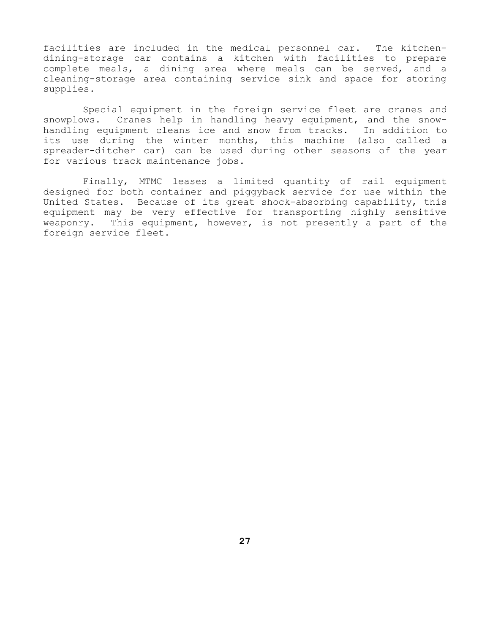facilities are included in the medical personnel car. The kitchendining-storage car contains a kitchen with facilities to prepare complete meals, a dining area where meals can be served, and a cleaning-storage area containing service sink and space for storing supplies.

Special equipment in the foreign service fleet are cranes and snowplows. Cranes help in handling heavy equipment, and the snowhandling equipment cleans ice and snow from tracks. In addition to its use during the winter months, this machine (also called a spreader-ditcher car) can be used during other seasons of the year for various track maintenance jobs.

Finally, MTMC leases a limited quantity of rail equipment designed for both container and piggyback service for use within the United States. Because of its great shock-absorbing capability, this equipment may be very effective for transporting highly sensitive weaponry. This equipment, however, is not presently a part of the foreign service fleet.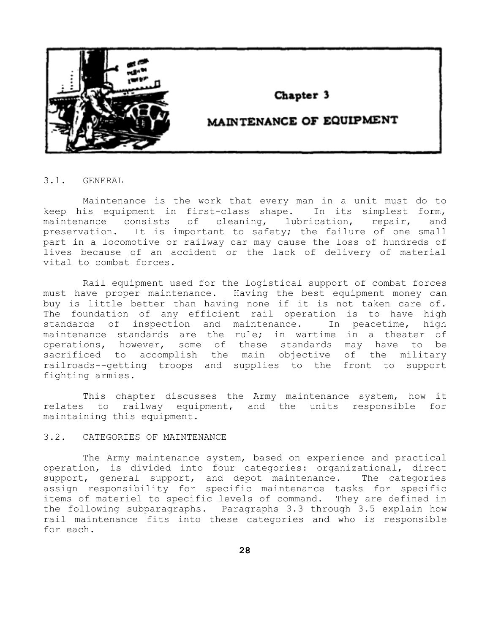

# Chapter 3

# MAINTENANCE OF EQUIPMENT

3.1. GENERAL

Maintenance is the work that every man in a unit must do to keep his equipment in first-class shape. In its simplest form, maintenance consists of cleaning, lubrication, repair, and preservation. It is important to safety; the failure of one small part in a locomotive or railway car may cause the loss of hundreds of lives because of an accident or the lack of delivery of material vital to combat forces.

Rail equipment used for the logistical support of combat forces must have proper maintenance. Having the best equipment money can buy is little better than having none if it is not taken care of. The foundation of any efficient rail operation is to have high standards of inspection and maintenance. In peacetime, high maintenance standards are the rule; in wartime in a theater of operations, however, some of these standards may have to be sacrificed to accomplish the main objective of the military railroads--getting troops and supplies to the front to support fighting armies.

This chapter discusses the Army maintenance system, how it relates to railway equipment, and the units responsible for maintaining this equipment.

### 3.2. CATEGORIES OF MAINTENANCE

The Army maintenance system, based on experience and practical operation, is divided into four categories: organizational, direct support, general support, and depot maintenance. The categories assign responsibility for specific maintenance tasks for specific items of materiel to specific levels of command. They are defined in the following subparagraphs. Paragraphs 3.3 through 3.5 explain how rail maintenance fits into these categories and who is responsible for each.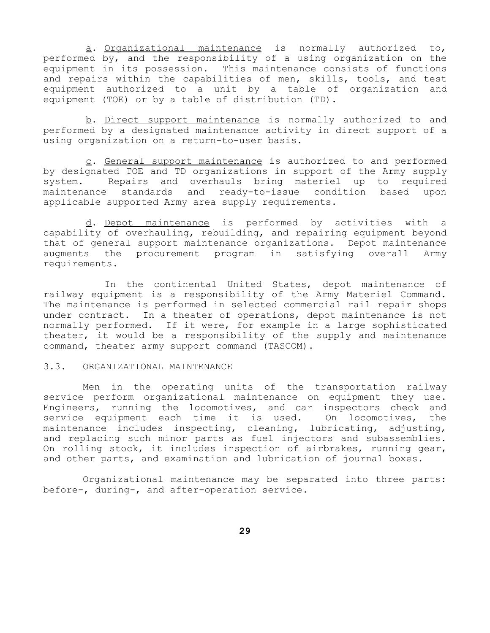a. Organizational maintenance is normally authorized to, performed by, and the responsibility of a using organization on the equipment in its possession. This maintenance consists of functions and repairs within the capabilities of men, skills, tools, and test equipment authorized to a unit by a table of organization and equipment (TOE) or by a table of distribution (TD).

b. Direct support maintenance is normally authorized to and performed by a designated maintenance activity in direct support of a using organization on a return-to-user basis.

c. General support maintenance is authorized to and performed by designated TOE and TD organizations in support of the Army supply system. Repairs and overhauls bring materiel up to required maintenance standards and ready-to-issue condition based upon applicable supported Army area supply requirements.

d. Depot maintenance is performed by activities with a capability of overhauling, rebuilding, and repairing equipment beyond that of general support maintenance organizations. Depot maintenance augments the procurement program in satisfying overall Army requirements.

In the continental United States, depot maintenance of railway equipment is a responsibility of the Army Materiel Command. The maintenance is performed in selected commercial rail repair shops under contract. In a theater of operations, depot maintenance is not normally performed. If it were, for example in a large sophisticated theater, it would be a responsibility of the supply and maintenance command, theater army support command (TASCOM).

### 3.3. ORGANIZATIONAL MAINTENANCE

Men in the operating units of the transportation railway service perform organizational maintenance on equipment they use. Engineers, running the locomotives, and car inspectors check and service equipment each time it is used. On locomotives, the maintenance includes inspecting, cleaning, lubricating, adjusting, and replacing such minor parts as fuel injectors and subassemblies. On rolling stock, it includes inspection of airbrakes, running gear, and other parts, and examination and lubrication of journal boxes.

Organizational maintenance may be separated into three parts: before-, during-, and after-operation service.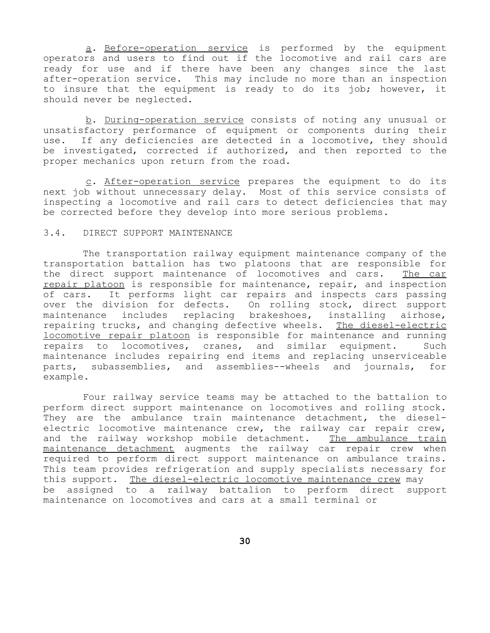a. Before-operation service is performed by the equipment operators and users to find out if the locomotive and rail cars are ready for use and if there have been any changes since the last after-operation service. This may include no more than an inspection to insure that the equipment is ready to do its job; however, it should never be neglected.

b. During-operation service consists of noting any unusual or unsatisfactory performance of equipment or components during their use. If any deficiencies are detected in a locomotive, they should be investigated, corrected if authorized, and then reported to the proper mechanics upon return from the road.

c. After-operation service prepares the equipment to do its next job without unnecessary delay. Most of this service consists of inspecting a locomotive and rail cars to detect deficiencies that may be corrected before they develop into more serious problems.

## 3.4. DIRECT SUPPORT MAINTENANCE

The transportation railway equipment maintenance company of the transportation battalion has two platoons that are responsible for the direct support maintenance of locomotives and cars. The car repair platoon is responsible for maintenance, repair, and inspection of cars. It performs light car repairs and inspects cars passing over the division for defects. On rolling stock, direct support maintenance includes replacing brakeshoes, installing airhose, repairing trucks, and changing defective wheels. The diesel-electric locomotive repair platoon is responsible for maintenance and running repairs to locomotives, cranes, and similar equipment. Such maintenance includes repairing end items and replacing unserviceable parts, subassemblies, and assemblies--wheels and journals, for example.

Four railway service teams may be attached to the battalion to perform direct support maintenance on locomotives and rolling stock. They are the ambulance train maintenance detachment, the dieselelectric locomotive maintenance crew, the railway car repair crew, and the railway workshop mobile detachment. The ambulance train maintenance detachment augments the railway car repair crew when required to perform direct support maintenance on ambulance trains. This team provides refrigeration and supply specialists necessary for this support. The diesel-electric locomotive maintenance crew may be assigned to a railway battalion to perform direct support maintenance on locomotives and cars at a small terminal or

**30**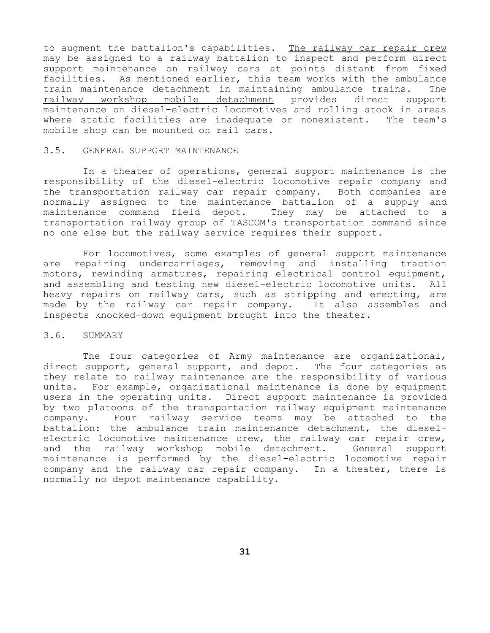to augment the battalion's capabilities. The railway car repair crew may be assigned to a railway battalion to inspect and perform direct support maintenance on railway cars at points distant from fixed facilities. As mentioned earlier, this team works with the ambulance train maintenance detachment in maintaining ambulance trains. The railway workshop mobile detachment provides direct support maintenance on diesel-electric locomotives and rolling stock in areas where static facilities are inadequate or nonexistent. The team's mobile shop can be mounted on rail cars.

#### 3.5. GENERAL SUPPORT MAINTENANCE

In a theater of operations, general support maintenance is the responsibility of the diesel-electric locomotive repair company and the transportation railway car repair company. Both companies are normally assigned to the maintenance battalion of a supply and maintenance command field depot. They may be attached to a transportation railway group of TASCOM's transportation command since no one else but the railway service requires their support.

For locomotives, some examples of general support maintenance are repairing undercarriages, removing and installing traction motors, rewinding armatures, repairing electrical control equipment, and assembling and testing new diesel-electric locomotive units. All heavy repairs on railway cars, such as stripping and erecting, are made by the railway car repair company. It also assembles and inspects knocked-down equipment brought into the theater.

#### 3.6. SUMMARY

The four categories of Army maintenance are organizational, direct support, general support, and depot. The four categories as they relate to railway maintenance are the responsibility of various units. For example, organizational maintenance is done by equipment users in the operating units. Direct support maintenance is provided by two platoons of the transportation railway equipment maintenance company. Four railway service teams may be attached to the battalion: the ambulance train maintenance detachment, the dieselelectric locomotive maintenance crew, the railway car repair crew, and the railway workshop mobile detachment. General support maintenance is performed by the diesel-electric locomotive repair company and the railway car repair company. In a theater, there is normally no depot maintenance capability.

**31**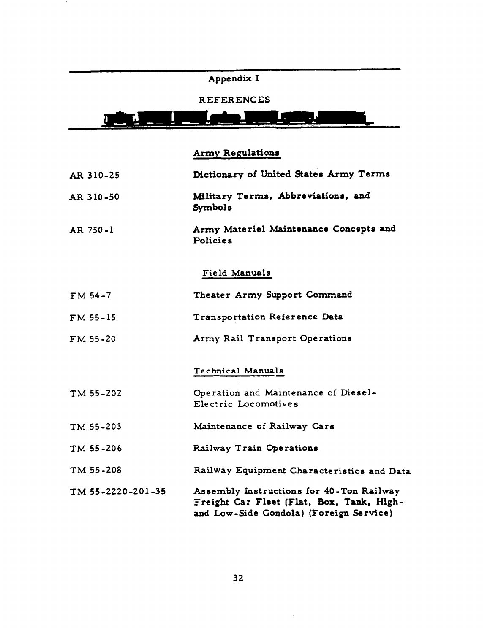# Appendix I

# REFERENCES

#### $\sqrt{ }$ F) **THE**

# Army Regulations

| AR 310-25         | Dictionary of United States Army Terms                                                                                           |
|-------------------|----------------------------------------------------------------------------------------------------------------------------------|
| AR 310-50         | Military Terms, Abbreviations, and<br>Symbols                                                                                    |
| AR 750-1          | Army Materiel Maintenance Concepts and<br>Policies                                                                               |
|                   | Field Manuals                                                                                                                    |
| $FM54-7$          | Theater Army Support Command                                                                                                     |
| FM 55-15          | Transportation Reference Data                                                                                                    |
| FM 55-20          | Army Rail Transport Operations                                                                                                   |
|                   | Technical Manuals                                                                                                                |
| TM 55-202         | Operation and Maintenance of Diesel-<br>Electric Locomotives                                                                     |
| TM 55-203         | Maintenance of Railway Cars                                                                                                      |
| TM 55-206         | Railway Train Operations                                                                                                         |
| TM 55-208         | Railway Equipment Characteristics and Data                                                                                       |
| TM 55-2220-201-35 | Assembly Instructions for 40-Ton Railway<br>Freight Car Fleet (Flat, Box, Tank, High-<br>and Low-Side Gondola) (Foreign Service) |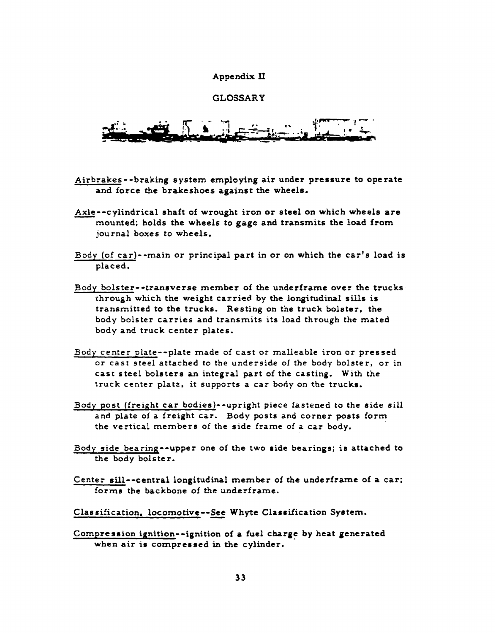#### Appendix II

# **GLOSSARY**

- Airbrakes--braking system employing air under pressure to operate and force the brakeshoes against the wheels.
- Axle--cylindrical shaft of wrought iron or steel on which wheels are mounted; holds the wheels to gage and transmits the load from journal boxes to wheels.
- Body (of car)--main or principal part in or on which the car's load is placed.
- Body bolster--transverse member of the underframe over the trucks through which the weight carried by the longitudinal sills is transmitted to the trucks. Resting on the truck bolster, the body bolster carries and transmits its load through the mated body and truck center plates.
- Body center plate--plate made of cast or malleable iron or pressed or cast steel attached to the underside of the body bolster, or in cast steel bolsters an integral part of the casting. With the truck center plate, it supports a car body on the trucks.
- Body post (freight car bodies)--upright piece fastened to the side sill and plate of a freight car. Body posts and corner posts form the vertical members of the side frame of a car body.
- Body side bearing--upper one of the two side bearings; is attached to the body bolster.
- Center sill--central longitudinal member of the underframe of a car; forms the backbone of the underframe.
- Classification, locomotive--See Whyte Classification System.
- Compression ignition--ignition of a fuel charge by heat generated when air is compressed in the cylinder.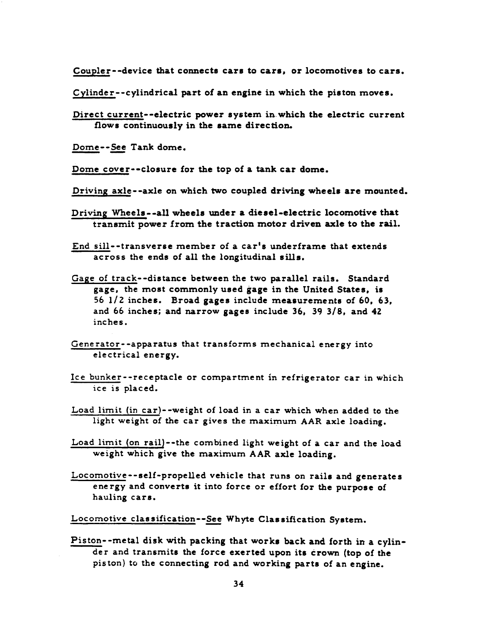Coupler--device that connects cars to cars, or locomotives to cars.

Cylinder--cylindrical part of an engine in which the piston moves.

Direct current--electric power system in which the electric current flows continuously in the same direction.

Dome--See Tank dome.

Dome cover--closure for the top of a tank car dome.

Driving axle--axle on which two coupled driving wheels are mounted.

Driving Wheels--all wheels under a diesel-electric locomotive that transmit power from the traction motor driven axle to the rail.

End sill--transverse member of a car's underframe that extends across the ends of all the longitudinal sills.

- Gage of track--distance between the two parallel rails. Standard gage, the most commonly used gage in the United States, is 56 1/2 inches. Broad gages include measurements of 60, 63. and 66 inches; and narrow gages include 36, 39 3/8, and 42 inches.
- Generator--apparatus that transforms mechanical energy into electrical energy.
- Ice bunker--receptacle or compartment in refrigerator car in which ice is placed.
- Load limit (in car)--weight of load in a car which when added to the light weight of the car gives the maximum AAR axle loading.
- Load limit (on rail)--the combined light weight of a car and the load weight which give the maximum AAR axle loading.
- Locomotive--self-propelled vehicle that runs on rails and generates energy and converts it into force or effort for the purpose of hauling cars.

Locomotive classification--See Whyte Classification System.

Piston--metal disk with packing that works back and forth in a cylinder and transmits the force exerted upon its crown (top of the piston) to the connecting rod and working parts of an engine.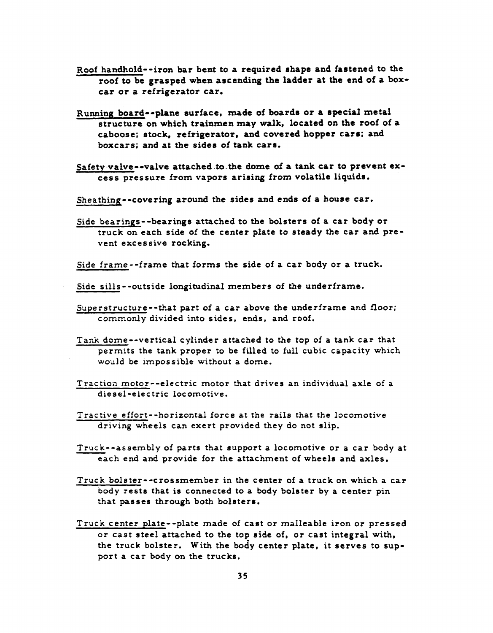- Roof handhold--iron bar bent to a required shape and fastened to the roof to be grasped when ascending the ladder at the end of a boxcar or a refrigerator car.
- Running board--plane surface, made of boards or a special metal structure on which trainmen may walk, located on the roof of a caboose; stock, refrigerator, and covered hopper cars; and boxcars; and at the sides of tank cars.
- Safety valve--valve attached to the dome of a tank car to prevent excess pressure from vapors arising from volatile liquids.
- Sheathing--covering around the sides and ends of a house car.
- Side bearings--bearings attached to the bolsters of a car body or truck on each side of the center plate to steady the car and prevent excessive rocking.
- Side frame--frame that forms the side of a car body or a truck.
- Side sills--outside longitudinal members of the underframe.
- Superstructure--that part of a car above the underframe and floor; commonly divided into sides, ends, and roof.
- Tank dome--vertical cylinder attached to the top of a tank car that permits the tank proper to be filled to full cubic capacity which would be impossible without a dome.
- Traction motor--electric motor that drives an individual axle of a diesel-electric locomotive.
- Tractive effort--horizontal force at the rails that the locomotive driving wheels can exert provided they do not slip.
- Truck--assembly of parts that support a locomotive or a car body at each end and provide for the attachment of wheels and axles.
- Truck bolster--crossmember in the center of a truck on which a car body rests that is connected to a body bolster by a center pin that passes through both bolsters.
- Truck center plate--plate made of cast or malleable iron or pressed or cast steel attached to the top side of, or cast integral with, the truck bolster. With the body center plate, it serves to support a car body on the trucks.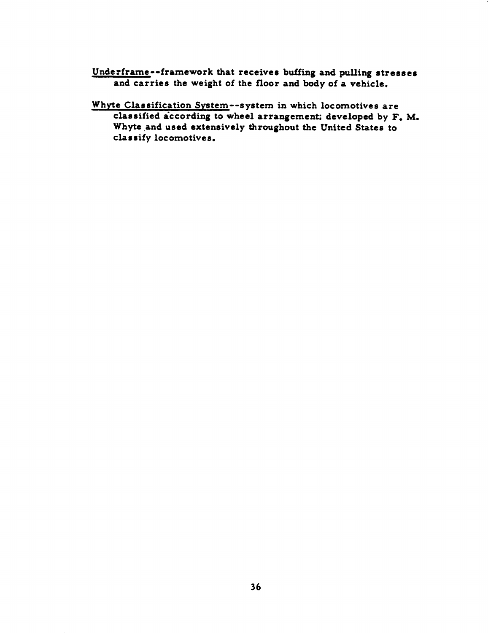Underframe--framework that receives buffing and pulling stresses and carries the weight of the floor and body of a vehicle.

Whyte Classification System--system in which locomotives are classified according to wheel arrangement; developed by F. M. Whyte and used extensively throughout the United States to classify locomotives.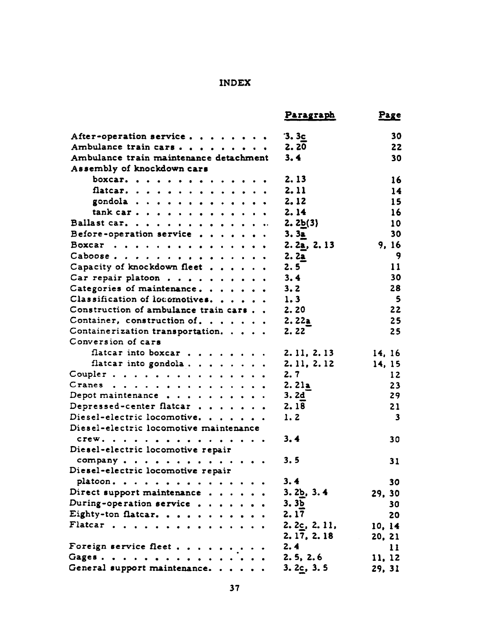# INDEX

|                                        | <b>Paragraph</b>       | Page         |
|----------------------------------------|------------------------|--------------|
| After-operation service                | 3.3c                   | 30           |
| Ambulance train cars                   | 2.20                   | 22           |
| Ambulance train maintenance detachment | 3.4                    | 30           |
| Assembly of knockdown cars             |                        |              |
| boxcar.                                | 2.13                   | 16           |
| flatcar.                               | 2.11                   | 14           |
| gondola                                | 2.12                   | 15           |
| $\text{rank car.}$                     | 2.14                   | 16           |
| Ballast car.                           | 2.2 <sub>b(3)</sub>    | 10           |
| Before-operation service               | 3.3 <sub>a</sub>       | 30           |
| Boxcar                                 | 2.2a, 2.13             | 9.16         |
| Caboose.                               | 2.2a                   | 9            |
| Capacity of knockdown fleet            | 2.5                    | 11           |
| Car repair platoon                     | 3.4                    | 30           |
| Categories of maintenance.             | 3.2                    | 28           |
| Classification of locomotives.         | 1.3                    | 5            |
| Construction of ambulance train cars   | 2.20                   | 22           |
| Container, construction of.            | 2.22a                  | 25           |
| Containerization transportation.       | 2.22                   | 25           |
| Conversion of cars                     |                        |              |
| flatcar into boxcar                    | 2.11, 2.13             | 14, 16       |
| flatcar into gondola                   | 2. 11, 2. 12           | 14, 15       |
| Coupler.                               | 2.7                    | 12           |
| Cranes                                 | 2.21a                  | 23           |
| Depot maintenance                      | 3. 2d                  | 29           |
| Depressed-center flatcar               | 2.18                   | 21           |
| Diesel-electric locomotive.            | 1.2                    | $\mathbf{3}$ |
| Diesel-electric locomotive maintenance |                        |              |
|                                        |                        |              |
| CTeW.                                  | 3.4                    | 30           |
| Diesel-electric locomotive repair      |                        |              |
| company                                | 3.5                    | 31           |
| Diesel-electric locomotive repair      |                        |              |
| platoon.                               | 3.4                    | 30           |
| Direct support maintenance             | 3.2 <sub>b</sub> , 3.4 | 29, 30       |
| During-operation service               | 3.3 <sub>b</sub>       | 30           |
| Eighty-ton flatcar.                    | 2.17                   | 20           |
| Flatcar                                | 2.2c, 2.11             | 10, 14       |
|                                        | 2.17, 2.18             | 20, 21       |
| Foreign service fleet                  | 2.4                    | 11           |
| Gages.                                 | 2.5, 2.6               | 11, 12       |
| General support maintenance.           | 3.2c, 3.5              | 29, 31       |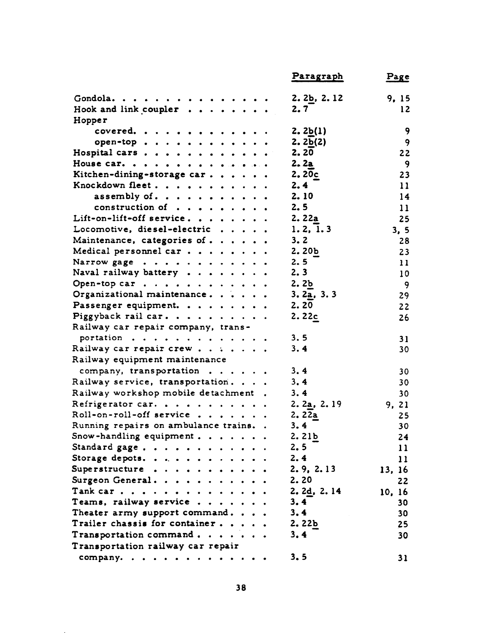|                                     | Paragraph               | Page            |
|-------------------------------------|-------------------------|-----------------|
| Gondola.                            | 2.2 <sub>b</sub> , 2.12 | 9, 15           |
| Hook and link coupler $\cdots$      | 2.7                     | 12              |
| Hopper                              |                         |                 |
| covered.                            | 2.2b(1)                 | 9               |
| open-top                            | 2.2 <sub>b</sub> (2)    | 9               |
| Hospital cars                       | 2.20                    | 22              |
| House car.                          | 2.2a                    | 9               |
| Kitchen-dining-storage car          | 2.20c                   | 23              |
| Knockdown fleet                     | 2.4                     | 11              |
| assembly of $\ldots$                | 2.10                    | 14              |
| construction of                     | 2.5                     | 11              |
| Lift-on-lift-off service.           | 2.22a                   | 25              |
| Locomotive, diesel-electric         | 1.2, 1.3                | 3, 5            |
| Maintenance, categories of          | 3.2                     | 28              |
| Medical personnel car               | 2.20 <sub>b</sub>       | 23              |
| Narrow gage                         | 2.5                     | 11              |
| Naval railway battery $\cdots$      | 2.3                     | 10 <sub>1</sub> |
| Open-top car                        | 2.2 <sub>b</sub>        | -9              |
| Organizational maintenance.         | 3.2a, 3.3               | 29              |
| Passenger equipment.                | 2.20                    | 22              |
| Piggyback rail car.                 | 2.22c                   | 26              |
| Railway car repair company, trans-  |                         |                 |
| portation                           | 3.5                     | 31              |
| Railway car repair crew             | 3.4                     | 30              |
| Railway equipment maintenance       |                         |                 |
| company, transportation             | 3.4                     | 30              |
| Railway service, transportation.    | 3.4                     | 30              |
| Railway workshop mobile detachment. | 3.4                     | 30              |
| Refrigerator car                    | 2.2a, 2.19              | 9.21            |
| Roll-on-roll-off service            | 2.22a                   | 25              |
| Running repairs on ambulance trains | 3.4                     | 30              |
| Snow-handling equipment             | 2.21b                   | 24              |
| Standard gage                       | 2.5                     | 11              |
| Storage depots.                     | 2.4                     | 11              |
| Superstructure                      | 2.9, 2.13               | 13, 16          |
| Surgeon General.                    | 2.20                    | 22              |
| Tank car.                           | 2.2d, 2.14              | 10, 16          |
| Teams, railway service              | 3.4                     | 30              |
| Theater army support command.       | 3.4                     | 30              |
| Trailer chassis for container       | 2.22 <sub>b</sub>       | 25              |
| Transportation command              | 3.4                     | 30              |
| Transportation railway car repair   |                         |                 |
|                                     | 3.5                     |                 |
| company.                            |                         | 31              |